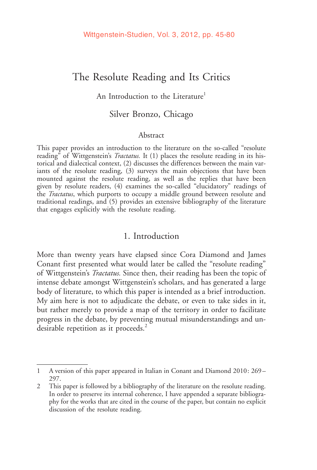# The Resolute Reading and Its Critics

### An Introduction to the Literature<sup>1</sup>

### Silver Bronzo, Chicago

#### Abstract

This paper provides an introduction to the literature on the so-called "resolute reading<sup>"</sup> of Wittgenstein's *Tractatus*. It (1) places the resolute reading in its historical and dialectical context, (2) discusses the differences between the main variants of the resolute reading, (3) surveys the main objections that have been mounted against the resolute reading, as well as the replies that have been given by resolute readers, (4) examines the so-called "elucidatory" readings of the *Tractatus*, which purports to occupy a middle ground between resolute and traditional readings, and (5) provides an extensive bibliography of the literature that engages explicitly with the resolute reading.

### 1. Introduction

More than twenty years have elapsed since Cora Diamond and James Conant first presented what would later be called the "resolute reading" of Wittgenstein's Tractatus. Since then, their reading has been the topic of intense debate amongst Wittgenstein's scholars, and has generated a large body of literature, to which this paper is intended as a brief introduction. My aim here is not to adjudicate the debate, or even to take sides in it, but rather merely to provide a map of the territory in order to facilitate progress in the debate, by preventing mutual misunderstandings and undesirable repetition as it proceeds.<sup>2</sup>

<sup>1</sup> A version of this paper appeared in Italian in Conant and Diamond 2010: 269 – 297.

<sup>2</sup> This paper is followed by a bibliography of the literature on the resolute reading. In order to preserve its internal coherence, I have appended a separate bibliography for the works that are cited in the course of the paper, but contain no explicit discussion of the resolute reading.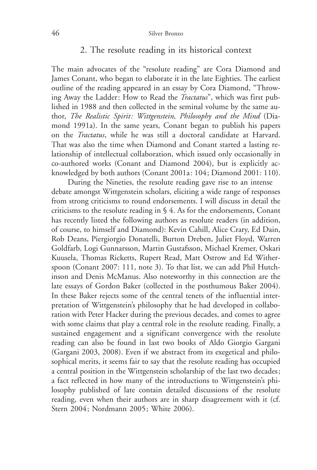# 2. The resolute reading in its historical context

The main advocates of the "resolute reading" are Cora Diamond and James Conant, who began to elaborate it in the late Eighties. The earliest outline of the reading appeared in an essay by Cora Diamond, "Throwing Away the Ladder: How to Read the *Tractatus*", which was first published in 1988 and then collected in the seminal volume by the same author, The Realistic Spirit: Wittgenstein, Philosophy and the Mind (Diamond 1991a). In the same years, Conant began to publish his papers on the Tractatus, while he was still a doctoral candidate at Harvard. That was also the time when Diamond and Conant started a lasting relationship of intellectual collaboration, which issued only occasionally in co-authored works (Conant and Diamond 2004), but is explicitly acknowledged by both authors (Conant 2001a: 104; Diamond 2001: 110).

During the Nineties, the resolute reading gave rise to an intense debate amongst Wittgenstein scholars, eliciting a wide range of responses from strong criticisms to round endorsements. I will discuss in detail the criticisms to the resolute reading in § 4. As for the endorsements, Conant has recently listed the following authors as resolute readers (in addition, of course, to himself and Diamond): Kevin Cahill, Alice Crary, Ed Dain, Rob Deans, Piergiorgio Donatelli, Burton Dreben, Juliet Floyd, Warren Goldfarb, Logi Gunnarsson, Martin Gustafsson, Michael Kremer, Oskari Kuusela, Thomas Ricketts, Rupert Read, Matt Ostrow and Ed Witherspoon (Conant 2007: 111, note 3). To that list, we can add Phil Hutchinson and Denis McManus. Also noteworthy in this connection are the late essays of Gordon Baker (collected in the posthumous Baker 2004). In these Baker rejects some of the central tenets of the influential interpretation of Wittgenstein's philosophy that he had developed in collaboration with Peter Hacker during the previous decades, and comes to agree with some claims that play a central role in the resolute reading. Finally, a sustained engagement and a significant convergence with the resolute reading can also be found in last two books of Aldo Giorgio Gargani (Gargani 2003, 2008). Even if we abstract from its exegetical and philosophical merits, it seems fair to say that the resolute reading has occupied a central position in the Wittgenstein scholarship of the last two decades; a fact reflected in how many of the introductions to Wittgenstein's philosophy published of late contain detailed discussions of the resolute reading, even when their authors are in sharp disagreement with it (cf. Stern 2004; Nordmann 2005; White 2006).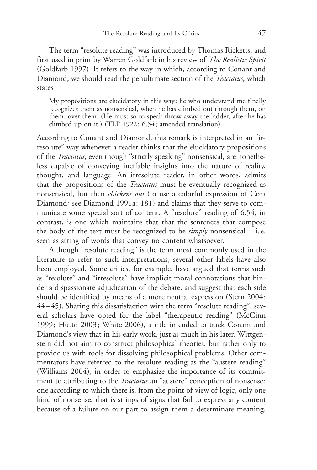The term "resolute reading" was introduced by Thomas Ricketts, and first used in print by Warren Goldfarb in his review of The Realistic Spirit (Goldfarb 1997). It refers to the way in which, according to Conant and Diamond, we should read the penultimate section of the *Tractatus*, which states:

My propositions are elucidatory in this way: he who understand me finally recognizes them as nonsensical, when he has climbed out through them, on them, over them. (He must so to speak throw away the ladder, after he has climbed up on it.) (TLP 1922: 6.54; amended translation).

According to Conant and Diamond, this remark is interpreted in an "irresolute" way whenever a reader thinks that the elucidatory propositions of the Tractatus, even though "strictly speaking" nonsensical, are nonetheless capable of conveying ineffable insights into the nature of reality, thought, and language. An irresolute reader, in other words, admits that the propositions of the Tractatus must be eventually recognized as nonsensical, but then chickens out (to use a colorful expression of Cora Diamond; see Diamond 1991a: 181) and claims that they serve to communicate some special sort of content. A "resolute" reading of 6.54, in contrast, is one which maintains that that the sentences that compose the body of the text must be recognized to be  $\text{simply}$  nonsensical – i.e. seen as string of words that convey no content whatsoever.

Although "resolute reading" is the term most commonly used in the literature to refer to such interpretations, several other labels have also been employed. Some critics, for example, have argued that terms such as "resolute" and "irresolute" have implicit moral connotations that hinder a dispassionate adjudication of the debate, and suggest that each side should be identified by means of a more neutral expression (Stern 2004: 44 – 45). Sharing this dissatisfaction with the term "resolute reading", several scholars have opted for the label "therapeutic reading" (McGinn 1999; Hutto 2003; White 2006), a title intended to track Conant and Diamond's view that in his early work, just as much in his later, Wittgenstein did not aim to construct philosophical theories, but rather only to provide us with tools for dissolving philosophical problems. Other commentators have referred to the resolute reading as the "austere reading" (Williams 2004), in order to emphasize the importance of its commitment to attributing to the *Tractatus* an "austere" conception of nonsense: one according to which there is, from the point of view of logic, only one kind of nonsense, that is strings of signs that fail to express any content because of a failure on our part to assign them a determinate meaning.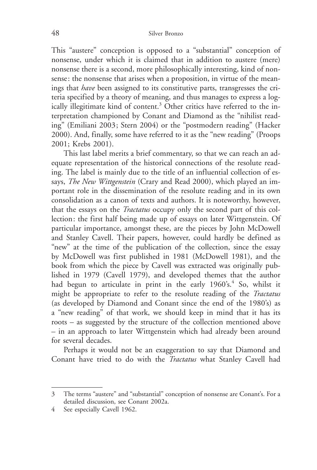This "austere" conception is opposed to a "substantial" conception of nonsense, under which it is claimed that in addition to austere (mere) nonsense there is a second, more philosophically interesting, kind of nonsense: the nonsense that arises when a proposition, in virtue of the meanings that have been assigned to its constitutive parts, transgresses the criteria specified by a theory of meaning, and thus manages to express a logically illegitimate kind of content.<sup>3</sup> Other critics have referred to the interpretation championed by Conant and Diamond as the "nihilist reading" (Emiliani 2003; Stern 2004) or the "postmodern reading" (Hacker 2000). And, finally, some have referred to it as the "new reading" (Proops 2001; Krebs 2001).

This last label merits a brief commentary, so that we can reach an adequate representation of the historical connections of the resolute reading. The label is mainly due to the title of an influential collection of essays, *The New Wittgenstein* (Crary and Read 2000), which played an important role in the dissemination of the resolute reading and in its own consolidation as a canon of texts and authors. It is noteworthy, however, that the essays on the Tractatus occupy only the second part of this collection: the first half being made up of essays on later Wittgenstein. Of particular importance, amongst these, are the pieces by John McDowell and Stanley Cavell. Their papers, however, could hardly be defined as "new" at the time of the publication of the collection, since the essay by McDowell was first published in 1981 (McDowell 1981), and the book from which the piece by Cavell was extracted was originally published in 1979 (Cavell 1979), and developed themes that the author had begun to articulate in print in the early  $1960\textdegree$ <sup>4</sup> So, whilst it might be appropriate to refer to the resolute reading of the Tractatus (as developed by Diamond and Conant since the end of the 1980's) as a "new reading" of that work, we should keep in mind that it has its roots – as suggested by the structure of the collection mentioned above – in an approach to later Wittgenstein which had already been around for several decades.

Perhaps it would not be an exaggeration to say that Diamond and Conant have tried to do with the Tractatus what Stanley Cavell had

<sup>3</sup> The terms "austere" and "substantial" conception of nonsense are Conant's. For a detailed discussion, see Conant 2002a.

<sup>4</sup> See especially Cavell 1962.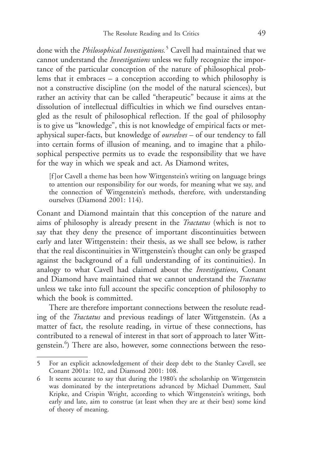done with the *Philosophical Investigations*.<sup>5</sup> Cavell had maintained that we cannot understand the Investigations unless we fully recognize the importance of the particular conception of the nature of philosophical problems that it embraces – a conception according to which philosophy is not a constructive discipline (on the model of the natural sciences), but rather an activity that can be called "therapeutic" because it aims at the dissolution of intellectual difficulties in which we find ourselves entangled as the result of philosophical reflection. If the goal of philosophy is to give us "knowledge", this is not knowledge of empirical facts or metaphysical super-facts, but knowledge of ourselves – of our tendency to fall into certain forms of illusion of meaning, and to imagine that a philosophical perspective permits us to evade the responsibility that we have for the way in which we speak and act. As Diamond writes,

[f ]or Cavell a theme has been how Wittgenstein's writing on language brings to attention our responsibility for our words, for meaning what we say, and the connection of Wittgenstein's methods, therefore, with understanding ourselves (Diamond 2001: 114).

Conant and Diamond maintain that this conception of the nature and aims of philosophy is already present in the Tractatus (which is not to say that they deny the presence of important discontinuities between early and later Wittgenstein: their thesis, as we shall see below, is rather that the real discontinuities in Wittgenstein's thought can only be grasped against the background of a full understanding of its continuities). In analogy to what Cavell had claimed about the *Investigations*, Conant and Diamond have maintained that we cannot understand the *Tractatus* unless we take into full account the specific conception of philosophy to which the book is committed.

There are therefore important connections between the resolute reading of the Tractatus and previous readings of later Wittgenstein. (As a matter of fact, the resolute reading, in virtue of these connections, has contributed to a renewal of interest in that sort of approach to later Wittgenstein.<sup>6</sup>) There are also, however, some connections between the reso-

<sup>5</sup> For an explicit acknowledgement of their deep debt to the Stanley Cavell, see Conant 2001a: 102, and Diamond 2001: 108.

<sup>6</sup> It seems accurate to say that during the 1980's the scholarship on Wittgenstein was dominated by the interpretations advanced by Michael Dummett, Saul Kripke, and Crispin Wright, according to which Wittgenstein's writings, both early and late, aim to construe (at least when they are at their best) some kind of theory of meaning.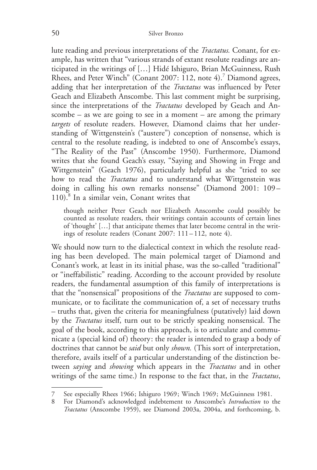lute reading and previous interpretations of the Tractatus. Conant, for example, has written that "various strands of extant resolute readings are anticipated in the writings of [...] Hidé Ishiguro, Brian McGuinness, Rush Rhees, and Peter Winch" (Conant 2007: 112, note 4).<sup>7</sup> Diamond agrees, adding that her interpretation of the *Tractatus* was influenced by Peter Geach and Elizabeth Anscombe. This last comment might be surprising, since the interpretations of the Tractatus developed by Geach and Anscombe – as we are going to see in a moment – are among the primary targets of resolute readers. However, Diamond claims that her understanding of Wittgenstein's ("austere") conception of nonsense, which is central to the resolute reading, is indebted to one of Anscombe's essays, "The Reality of the Past" (Anscombe 1950). Furthermore, Diamond writes that she found Geach's essay, "Saying and Showing in Frege and Wittgenstein" (Geach 1976), particularly helpful as she "tried to see how to read the *Tractatus* and to understand what Wittgenstein was doing in calling his own remarks nonsense" (Diamond 2001: 109- $110$ .<sup>8</sup> In a similar vein, Conant writes that

though neither Peter Geach nor Elizabeth Anscombe could possibly be counted as resolute readers, their writings contain accounts of certain lines of 'thought' […] that anticipate themes that later become central in the writings of resolute readers (Conant 2007: 111 – 112, note 4).

We should now turn to the dialectical context in which the resolute reading has been developed. The main polemical target of Diamond and Conant's work, at least in its initial phase, was the so-called "traditional" or "ineffabilistic" reading. According to the account provided by resolute readers, the fundamental assumption of this family of interpretations is that the "nonsensical" propositions of the Tractatus are supposed to communicate, or to facilitate the communication of, a set of necessary truths – truths that, given the criteria for meaningfulness (putatively) laid down by the Tractatus itself, turn out to be strictly speaking nonsensical. The goal of the book, according to this approach, is to articulate and communicate a (special kind of) theory: the reader is intended to grasp a body of doctrines that cannot be *said* but only *shown*. (This sort of interpretation, therefore, avails itself of a particular understanding of the distinction between saying and showing which appears in the Tractatus and in other writings of the same time.) In response to the fact that, in the Tractatus,

<sup>7</sup> See especially Rhees 1966; Ishiguro 1969; Winch 1969; McGuinness 1981.

<sup>8</sup> For Diamond's acknowledged indebtement to Anscombe's Introduction to the Tractatus (Anscombe 1959), see Diamond 2003a, 2004a, and forthcoming, b.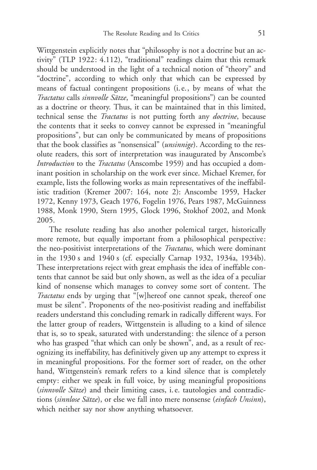Wittgenstein explicitly notes that "philosophy is not a doctrine but an activity" (TLP 1922: 4.112), "traditional" readings claim that this remark should be understood in the light of a technical notion of "theory" and "doctrine", according to which only that which can be expressed by means of factual contingent propositions (i. e., by means of what the Tractatus calls sinnvolle Sätze, "meaningful propositions") can be counted as a doctrine or theory. Thus, it can be maintained that in this limited, technical sense the Tractatus is not putting forth any doctrine, because the contents that it seeks to convey cannot be expressed in "meaningful propositions", but can only be communicated by means of propositions that the book classifies as "nonsensical" (unsinnige). According to the resolute readers, this sort of interpretation was inaugurated by Anscombe's Introduction to the Tractatus (Anscombe 1959) and has occupied a dominant position in scholarship on the work ever since. Michael Kremer, for example, lists the following works as main representatives of the ineffabilistic tradition (Kremer 2007: 164, note 2): Anscombe 1959, Hacker 1972, Kenny 1973, Geach 1976, Fogelin 1976, Pears 1987, McGuinness 1988, Monk 1990, Stern 1995, Glock 1996, Stokhof 2002, and Monk 2005.

The resolute reading has also another polemical target, historically more remote, but equally important from a philosophical perspective: the neo-positivist interpretations of the *Tractatus*, which were dominant in the 1930 s and 1940 s (cf. especially Carnap 1932, 1934a, 1934b). These interpretations reject with great emphasis the idea of ineffable contents that cannot be said but only shown, as well as the idea of a peculiar kind of nonsense which manages to convey some sort of content. The Tractatus ends by urging that "[w]hereof one cannot speak, thereof one must be silent". Proponents of the neo-positivist reading and ineffabilist readers understand this concluding remark in radically different ways. For the latter group of readers, Wittgenstein is alluding to a kind of silence that is, so to speak, saturated with understanding: the silence of a person who has grasped "that which can only be shown", and, as a result of recognizing its ineffability, has definitively given up any attempt to express it in meaningful propositions. For the former sort of reader, on the other hand, Wittgenstein's remark refers to a kind silence that is completely empty: either we speak in full voice, by using meaningful propositions (sinnvolle Sätze) and their limiting cases, i.e. tautologies and contradictions (sinnlose Sätze), or else we fall into mere nonsense (einfach Unsinn), which neither say nor show anything whatsoever.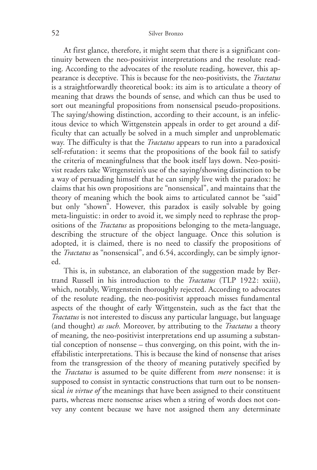At first glance, therefore, it might seem that there is a significant continuity between the neo-positivist interpretations and the resolute reading. According to the advocates of the resolute reading, however, this appearance is deceptive. This is because for the neo-positivists, the Tractatus is a straightforwardly theoretical book: its aim is to articulate a theory of meaning that draws the bounds of sense, and which can thus be used to sort out meaningful propositions from nonsensical pseudo-propositions. The saying/showing distinction, according to their account, is an infelicitous device to which Wittgenstein appeals in order to get around a difficulty that can actually be solved in a much simpler and unproblematic way. The difficulty is that the *Tractatus* appears to run into a paradoxical self-refutation: it seems that the propositions of the book fail to satisfy the criteria of meaningfulness that the book itself lays down. Neo-positivist readers take Wittgenstein's use of the saying/showing distinction to be a way of persuading himself that he can simply live with the paradox: he claims that his own propositions are "nonsensical", and maintains that the theory of meaning which the book aims to articulated cannot be "said" but only "shown". However, this paradox is easily solvable by going meta-linguistic: in order to avoid it, we simply need to rephrase the propositions of the Tractatus as propositions belonging to the meta-language, describing the structure of the object language. Once this solution is adopted, it is claimed, there is no need to classify the propositions of the Tractatus as "nonsensical", and 6.54, accordingly, can be simply ignored.

This is, in substance, an elaboration of the suggestion made by Bertrand Russell in his introduction to the Tractatus (TLP 1922: xxiii), which, notably, Wittgenstein thoroughly rejected. According to advocates of the resolute reading, the neo-positivist approach misses fundamental aspects of the thought of early Wittgenstein, such as the fact that the Tractatus is not interested to discuss any particular language, but language (and thought) *as such*. Moreover, by attributing to the *Tractatus* a theory of meaning, the neo-positivist interpretations end up assuming a substantial conception of nonsense – thus converging, on this point, with the ineffabilistic interpretations. This is because the kind of nonsense that arises from the transgression of the theory of meaning putatively specified by the *Tractatus* is assumed to be quite different from *mere* nonsense: it is supposed to consist in syntactic constructions that turn out to be nonsensical *in virtue of* the meanings that have been assigned to their constituent parts, whereas mere nonsense arises when a string of words does not convey any content because we have not assigned them any determinate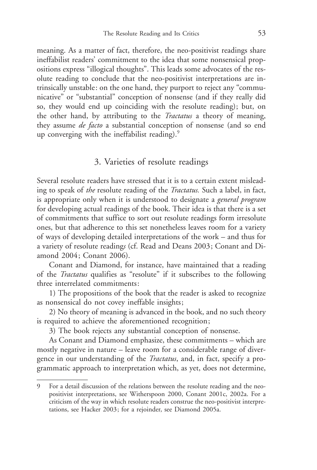meaning. As a matter of fact, therefore, the neo-positivist readings share ineffabilist readers' commitment to the idea that some nonsensical propositions express "illogical thoughts". This leads some advocates of the resolute reading to conclude that the neo-positivist interpretations are intrinsically unstable: on the one hand, they purport to reject any "communicative" or "substantial" conception of nonsense (and if they really did so, they would end up coinciding with the resolute reading); but, on the other hand, by attributing to the *Tractatus* a theory of meaning, they assume *de facto* a substantial conception of nonsense (and so end up converging with the ineffabilist reading). $\degree$ 

# 3. Varieties of resolute readings

Several resolute readers have stressed that it is to a certain extent misleading to speak of the resolute reading of the *Tractatus*. Such a label, in fact, is appropriate only when it is understood to designate a *general program* for developing actual readings of the book. Their idea is that there is a set of commitments that suffice to sort out resolute readings form irresolute ones, but that adherence to this set nonetheless leaves room for a variety of ways of developing detailed interpretations of the work – and thus for a variety of resolute readings (cf. Read and Deans 2003; Conant and Diamond 2004; Conant 2006).

Conant and Diamond, for instance, have maintained that a reading of the Tractatus qualifies as "resolute" if it subscribes to the following three interrelated commitments:

1) The propositions of the book that the reader is asked to recognize as nonsensical do not covey ineffable insights;

2) No theory of meaning is advanced in the book, and no such theory is required to achieve the aforementioned recognition;

3) The book rejects any substantial conception of nonsense.

As Conant and Diamond emphasize, these commitments – which are mostly negative in nature – leave room for a considerable range of divergence in our understanding of the *Tractatus*, and, in fact, specify a programmatic approach to interpretation which, as yet, does not determine,

<sup>9</sup> For a detail discussion of the relations between the resolute reading and the neopositivist interpretations, see Witherspoon 2000, Conant 2001c, 2002a. For a criticism of the way in which resolute readers construe the neo-positivist interpretations, see Hacker 2003; for a rejoinder, see Diamond 2005a.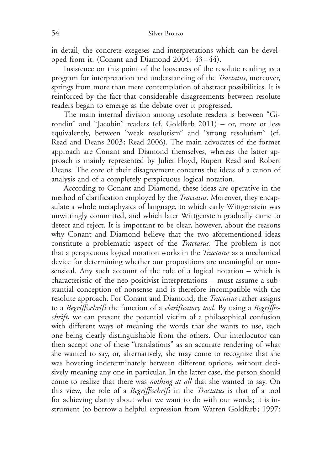in detail, the concrete exegeses and interpretations which can be developed from it. (Conant and Diamond 2004: 43 – 44).

Insistence on this point of the looseness of the resolute reading as a program for interpretation and understanding of the Tractatus, moreover, springs from more than mere contemplation of abstract possibilities. It is reinforced by the fact that considerable disagreements between resolute readers began to emerge as the debate over it progressed.

The main internal division among resolute readers is between "Girondin" and "Jacobin" readers (cf. Goldfarb 2011) – or, more or less equivalently, between "weak resolutism" and "strong resolutism" (cf. Read and Deans 2003; Read 2006). The main advocates of the former approach are Conant and Diamond themselves, whereas the latter approach is mainly represented by Juliet Floyd, Rupert Read and Robert Deans. The core of their disagreement concerns the ideas of a canon of analysis and of a completely perspicuous logical notation.

According to Conant and Diamond, these ideas are operative in the method of clarification employed by the *Tractatus*. Moreover, they encapsulate a whole metaphysics of language, to which early Wittgenstein was unwittingly committed, and which later Wittgenstein gradually came to detect and reject. It is important to be clear, however, about the reasons why Conant and Diamond believe that the two aforementioned ideas constitute a problematic aspect of the Tractatus. The problem is not that a perspicuous logical notation works in the Tractatus as a mechanical device for determining whether our propositions are meaningful or nonsensical. Any such account of the role of a logical notation – which is characteristic of the neo-positivist interpretations – must assume a substantial conception of nonsense and is therefore incompatible with the resolute approach. For Conant and Diamond, the *Tractatus* rather assigns to a Begriffsschrift the function of a *clarificatory tool*. By using a Begriffsschrift, we can present the potential victim of a philosophical confusion with different ways of meaning the words that she wants to use, each one being clearly distinguishable from the others. Our interlocutor can then accept one of these "translations" as an accurate rendering of what she wanted to say, or, alternatively, she may come to recognize that she was hovering indeterminately between different options, without decisively meaning any one in particular. In the latter case, the person should come to realize that there was nothing at all that she wanted to say. On this view, the role of a *Begriffsschrift* in the *Tractatus* is that of a tool for achieving clarity about what we want to do with our words; it is instrument (to borrow a helpful expression from Warren Goldfarb; 1997: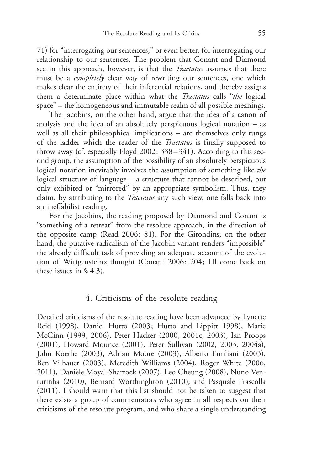71) for "interrogating our sentences," or even better, for interrogating our relationship to our sentences. The problem that Conant and Diamond see in this approach, however, is that the *Tractatus* assumes that there must be a completely clear way of rewriting our sentences, one which makes clear the entirety of their inferential relations, and thereby assigns them a determinate place within what the *Tractatus* calls "the logical space" – the homogeneous and immutable realm of all possible meanings.

The Jacobins, on the other hand, argue that the idea of a canon of analysis and the idea of an absolutely perspicuous logical notation – as well as all their philosophical implications – are themselves only rungs of the ladder which the reader of the Tractatus is finally supposed to throw away (cf. especially Floyd 2002: 338 – 341). According to this second group, the assumption of the possibility of an absolutely perspicuous logical notation inevitably involves the assumption of something like the logical structure of language – a structure that cannot be described, but only exhibited or "mirrored" by an appropriate symbolism. Thus, they claim, by attributing to the Tractatus any such view, one falls back into an ineffabilist reading.

For the Jacobins, the reading proposed by Diamond and Conant is "something of a retreat" from the resolute approach, in the direction of the opposite camp (Read 2006: 81). For the Girondins, on the other hand, the putative radicalism of the Jacobin variant renders "impossible" the already difficult task of providing an adequate account of the evolution of Wittgenstein's thought (Conant 2006: 204; I'll come back on these issues in  $\S$  4.3).

## 4. Criticisms of the resolute reading

Detailed criticisms of the resolute reading have been advanced by Lynette Reid (1998), Daniel Hutto (2003; Hutto and Lippitt 1998), Marie McGinn (1999, 2006), Peter Hacker (2000, 2001c, 2003), Ian Proops (2001), Howard Mounce (2001), Peter Sullivan (2002, 2003, 2004a), John Koethe (2003), Adrian Moore (2003), Alberto Emiliani (2003), Ben Vilhauer (2003), Meredith Williams (2004), Roger White (2006, 2011), Danièle Moyal-Sharrock (2007), Leo Cheung (2008), Nuno Venturinha (2010), Bernard Worthinghton (2010), and Pasquale Frascolla (2011). I should warn that this list should not be taken to suggest that there exists a group of commentators who agree in all respects on their criticisms of the resolute program, and who share a single understanding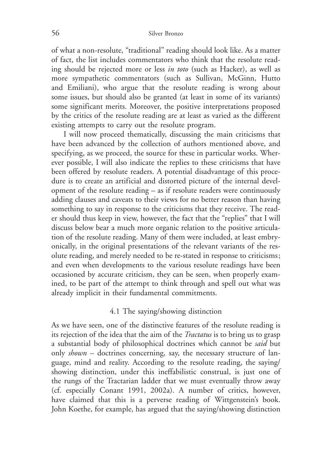of what a non-resolute, "traditional" reading should look like. As a matter of fact, the list includes commentators who think that the resolute reading should be rejected more or less in toto (such as Hacker), as well as more sympathetic commentators (such as Sullivan, McGinn, Hutto and Emiliani), who argue that the resolute reading is wrong about some issues, but should also be granted (at least in some of its variants) some significant merits. Moreover, the positive interpretations proposed by the critics of the resolute reading are at least as varied as the different existing attempts to carry out the resolute program.

I will now proceed thematically, discussing the main criticisms that have been advanced by the collection of authors mentioned above, and specifying, as we proceed, the source for these in particular works. Wherever possible, I will also indicate the replies to these criticisms that have been offered by resolute readers. A potential disadvantage of this procedure is to create an artificial and distorted picture of the internal development of the resolute reading – as if resolute readers were continuously adding clauses and caveats to their views for no better reason than having something to say in response to the criticisms that they receive. The reader should thus keep in view, however, the fact that the "replies" that I will discuss below bear a much more organic relation to the positive articulation of the resolute reading. Many of them were included, at least embryonically, in the original presentations of the relevant variants of the resolute reading, and merely needed to be re-stated in response to criticisms; and even when developments to the various resolute readings have been occasioned by accurate criticism, they can be seen, when properly examined, to be part of the attempt to think through and spell out what was already implicit in their fundamental commitments.

#### 4.1 The saying/showing distinction

As we have seen, one of the distinctive features of the resolute reading is its rejection of the idea that the aim of the Tractatus is to bring us to grasp a substantial body of philosophical doctrines which cannot be said but only  $shown -$  doctrines concerning, say, the necessary structure of language, mind and reality. According to the resolute reading, the saying/ showing distinction, under this ineffabilistic construal, is just one of the rungs of the Tractarian ladder that we must eventually throw away (cf. especially Conant 1991, 2002a). A number of critics, however, have claimed that this is a perverse reading of Wittgenstein's book. John Koethe, for example, has argued that the saying/showing distinction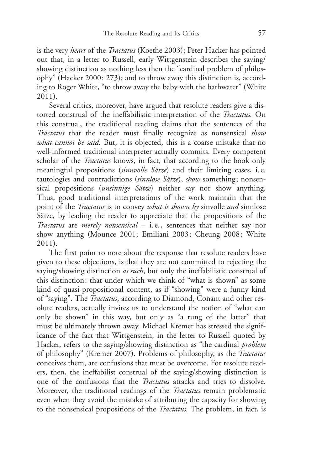is the very *heart* of the *Tractatus* (Koethe 2003); Peter Hacker has pointed out that, in a letter to Russell, early Wittgenstein describes the saying/ showing distinction as nothing less then the "cardinal problem of philosophy" (Hacker 2000: 273); and to throw away this distinction is, according to Roger White, "to throw away the baby with the bathwater" (White 2011).

Several critics, moreover, have argued that resolute readers give a distorted construal of the ineffabilistic interpretation of the Tractatus. On this construal, the traditional reading claims that the sentences of the Tractatus that the reader must finally recognize as nonsensical show what cannot be said. But, it is objected, this is a coarse mistake that no well-informed traditional interpreter actually commits. Every competent scholar of the *Tractatus* knows, in fact, that according to the book only meaningful propositions (sinnvolle Sätze) and their limiting cases, i.e. tautologies and contradictions (sinnlose Sätze), show something; nonsensical propositions (*unsinnige Sätze*) neither say nor show anything. Thus, good traditional interpretations of the work maintain that the point of the *Tractatus* is to convey what is shown by sinvolle and sinnlose Sätze, by leading the reader to appreciate that the propositions of the Tractatus are merely nonsensical – i. e., sentences that neither say nor show anything (Mounce 2001; Emiliani 2003; Cheung 2008; White 2011).

The first point to note about the response that resolute readers have given to these objections, is that they are not committed to rejecting the saying/showing distinction as such, but only the ineffabilistic construal of this distinction: that under which we think of "what is shown" as some kind of quasi-propositional content, as if "showing" were a funny kind of "saying". The Tractatus, according to Diamond, Conant and other resolute readers, actually invites us to understand the notion of "what can only be shown" in this way, but only as "a rung of the latter" that must be ultimately thrown away. Michael Kremer has stressed the significance of the fact that Wittgenstein, in the letter to Russell quoted by Hacker, refers to the saying/showing distinction as "the cardinal *problem* of philosophy" (Kremer 2007). Problems of philosophy, as the Tractatus conceives them, are confusions that must be overcome. For resolute readers, then, the ineffabilist construal of the saying/showing distinction is one of the confusions that the Tractatus attacks and tries to dissolve. Moreover, the traditional readings of the *Tractatus* remain problematic even when they avoid the mistake of attributing the capacity for showing to the nonsensical propositions of the Tractatus. The problem, in fact, is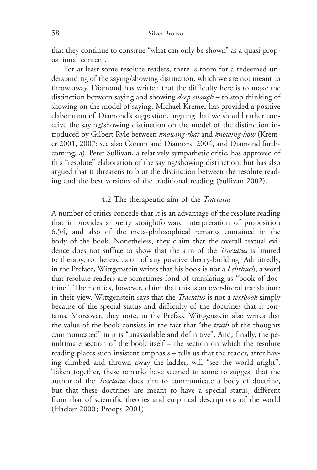that they continue to construe "what can only be shown" as a quasi-propositional content.

For at least some resolute readers, there is room for a redeemed understanding of the saying/showing distinction, which we are not meant to throw away. Diamond has written that the difficulty here is to make the distinction between saying and showing *deep enough* – to stop thinking of showing on the model of saying. Michael Kremer has provided a positive elaboration of Diamond's suggestion, arguing that we should rather conceive the saying/showing distinction on the model of the distinction introduced by Gilbert Ryle between knowing-that and knowing-how (Kremer 2001, 2007; see also Conant and Diamond 2004, and Diamond forthcoming, a). Peter Sullivan, a relatively sympathetic critic, has approved of this "resolute" elaboration of the saying/showing distinction, but has also argued that it threatens to blur the distinction between the resolute reading and the best versions of the traditional reading (Sullivan 2002).

### 4.2 The therapeutic aim of the Tractatus

A number of critics concede that it is an advantage of the resolute reading that it provides a pretty straightforward interpretation of proposition 6.54, and also of the meta-philosophical remarks contained in the body of the book. Nonetheless, they claim that the overall textual evidence does not suffice to show that the aim of the Tractatus is limited to therapy, to the exclusion of any positive theory-building. Admittedly, in the Preface, Wittgenstein writes that his book is not a Lehrbuch, a word that resolute readers are sometimes fond of translating as "book of doctrine". Their critics, however, claim that this is an over-literal translation: in their view, Wittgenstein says that the *Tractatus* is not a *textbook* simply because of the special status and difficulty of the doctrines that it contains. Moreover, they note, in the Preface Wittgenstein also writes that the value of the book consists in the fact that "the truth of the thoughts communicated" in it is "unassailable and definitive". And, finally, the penultimate section of the book itself – the section on which the resolute reading places such insistent emphasis – tells us that the reader, after having climbed and thrown away the ladder, will "see the world aright". Taken together, these remarks have seemed to some to suggest that the author of the Tractatus does aim to communicate a body of doctrine, but that these doctrines are meant to have a special status, different from that of scientific theories and empirical descriptions of the world (Hacker 2000; Proops 2001).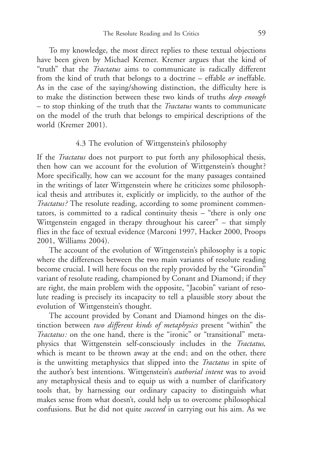To my knowledge, the most direct replies to these textual objections have been given by Michael Kremer. Kremer argues that the kind of "truth" that the *Tractatus* aims to communicate is radically different from the kind of truth that belongs to a doctrine – effable or ineffable. As in the case of the saying/showing distinction, the difficulty here is to make the distinction between these two kinds of truths deep enough – to stop thinking of the truth that the Tractatus wants to communicate on the model of the truth that belongs to empirical descriptions of the world (Kremer 2001).

### 4.3 The evolution of Wittgenstein's philosophy

If the *Tractatus* does not purport to put forth any philosophical thesis, then how can we account for the evolution of Wittgenstein's thought? More specifically, how can we account for the many passages contained in the writings of later Wittgenstein where he criticizes some philosophical thesis and attributes it, explicitly or implicitly, to the author of the Tractatus? The resolute reading, according to some prominent commentators, is committed to a radical continuity thesis – "there is only one Wittgenstein engaged in therapy throughout his career" – that simply flies in the face of textual evidence (Marconi 1997, Hacker 2000, Proops 2001, Williams 2004).

The account of the evolution of Wittgenstein's philosophy is a topic where the differences between the two main variants of resolute reading become crucial. I will here focus on the reply provided by the "Girondin" variant of resolute reading, championed by Conant and Diamond; if they are right, the main problem with the opposite, "Jacobin" variant of resolute reading is precisely its incapacity to tell a plausible story about the evolution of Wittgenstein's thought.

The account provided by Conant and Diamond hinges on the distinction between two different kinds of metaphysics present "within" the Tractatus: on the one hand, there is the "ironic" or "transitional" metaphysics that Wittgenstein self-consciously includes in the Tractatus, which is meant to be thrown away at the end; and on the other, there is the unwitting metaphysics that slipped into the Tractatus in spite of the author's best intentions. Wittgenstein's *authorial intent* was to avoid any metaphysical thesis and to equip us with a number of clarificatory tools that, by harnessing our ordinary capacity to distinguish what makes sense from what doesn't, could help us to overcome philosophical confusions. But he did not quite *succeed* in carrying out his aim. As we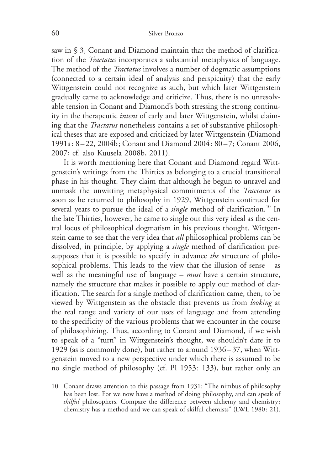saw in § 3, Conant and Diamond maintain that the method of clarification of the Tractatus incorporates a substantial metaphysics of language. The method of the *Tractatus* involves a number of dogmatic assumptions (connected to a certain ideal of analysis and perspicuity) that the early Wittgenstein could not recognize as such, but which later Wittgenstein gradually came to acknowledge and criticize. Thus, there is no unresolvable tension in Conant and Diamond's both stressing the strong continuity in the therapeutic intent of early and later Wittgenstein, whilst claiming that the Tractatus nonetheless contains a set of substantive philosophical theses that are exposed and criticized by later Wittgenstein (Diamond 1991a: 8 – 22, 2004b; Conant and Diamond 2004: 80 – 7; Conant 2006, 2007; cf. also Kuusela 2008b, 2011).

It is worth mentioning here that Conant and Diamond regard Wittgenstein's writings from the Thirties as belonging to a crucial transitional phase in his thought. They claim that although he begun to unravel and unmask the unwitting metaphysical commitments of the Tractatus as soon as he returned to philosophy in 1929, Wittgenstein continued for several years to pursue the ideal of a *single* method of clarification.<sup>10</sup> In the late Thirties, however, he came to single out this very ideal as the central locus of philosophical dogmatism in his previous thought. Wittgenstein came to see that the very idea that *all* philosophical problems can be dissolved, in principle, by applying a *single* method of clarification presupposes that it is possible to specify in advance the structure of philosophical problems. This leads to the view that the illusion of sense – as well as the meaningful use of language  $-$  must have a certain structure, namely the structure that makes it possible to apply our method of clarification. The search for a single method of clarification came, then, to be viewed by Wittgenstein as the obstacle that prevents us from looking at the real range and variety of our uses of language and from attending to the specificity of the various problems that we encounter in the course of philosophizing. Thus, according to Conant and Diamond, if we wish to speak of a "turn" in Wittgenstein's thought, we shouldn't date it to 1929 (as is commonly done), but rather to around 1936 – 37, when Wittgenstein moved to a new perspective under which there is assumed to be no single method of philosophy (cf. PI 1953: 133), but rather only an

<sup>10</sup> Conant draws attention to this passage from 1931: "The nimbus of philosophy has been lost. For we now have a method of doing philosophy, and can speak of skilful philosophers. Compare the difference between alchemy and chemistry; chemistry has a method and we can speak of skilful chemists" (LWL 1980: 21).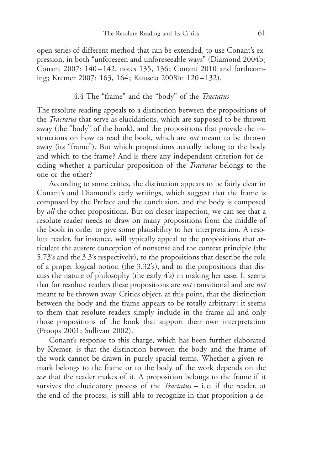open series of different method that can be extended, to use Conant's expression, in both "unforeseen and unforeseeable ways" (Diamond 2004b; Conant 2007: 140-142, notes 135, 136; Conant 2010 and forthcoming; Kremer 2007: 163, 164; Kuusela 2008b: 120 – 132).

### 4.4 The "frame" and the "body" of the Tractatus

The resolute reading appeals to a distinction between the propositions of the Tractatus that serve as elucidations, which are supposed to be thrown away (the "body" of the book), and the propositions that provide the instructions on how to read the book, which are *not* meant to be thrown away (its "frame"). But which propositions actually belong to the body and which to the frame? And is there any independent criterion for deciding whether a particular proposition of the Tractatus belongs to the one or the other ?

According to some critics, the distinction appears to be fairly clear in Conant's and Diamond's early writings, which suggest that the frame is composed by the Preface and the conclusion, and the body is composed by *all* the other propositions. But on closer inspection, we can see that a resolute reader needs to draw on many propositions from the middle of the book in order to give some plausibility to her interpretation. A resolute reader, for instance, will typically appeal to the propositions that articulate the austere conception of nonsense and the context principle (the 5.73's and the 3.3's respectively), to the propositions that describe the role of a proper logical notion (the 3.32's), and to the propositions that discuss the nature of philosophy (the early 4's) in making her case. It seems that for resolute readers these propositions are *not* transitional and are *not* meant to be thrown away. Critics object, at this point, that the distinction between the body and the frame appears to be totally arbitrary: it seems to them that resolute readers simply include in the frame all and only those propositions of the book that support their own interpretation (Proops 2001; Sullivan 2002).

Conant's response to this charge, which has been further elaborated by Kremer, is that the distinction between the body and the frame of the work cannot be drawn in purely spacial terms. Whether a given remark belongs to the frame or to the body of the work depends on the use that the reader makes of it. A proposition belongs to the frame if it survives the elucidatory process of the *Tractatus*  $-$  *i.e.* if the reader, at the end of the process, is still able to recognize in that proposition a de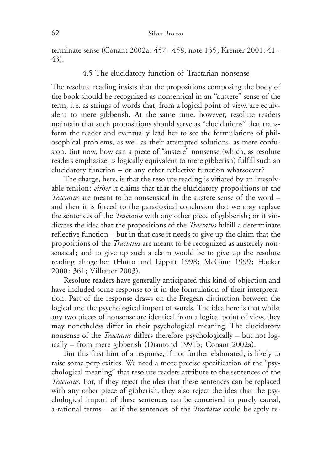terminate sense (Conant 2002a: 457 – 458, note 135; Kremer 2001: 41 – 43).

### 4.5 The elucidatory function of Tractarian nonsense

The resolute reading insists that the propositions composing the body of the book should be recognized as nonsensical in an "austere" sense of the term, i. e. as strings of words that, from a logical point of view, are equivalent to mere gibberish. At the same time, however, resolute readers maintain that such propositions should serve as "elucidations" that transform the reader and eventually lead her to see the formulations of philosophical problems, as well as their attempted solutions, as mere confusion. But now, how can a piece of "austere" nonsense (which, as resolute readers emphasize, is logically equivalent to mere gibberish) fulfill such an elucidatory function – or any other reflective function whatsoever?

The charge, here, is that the resolute reading is vitiated by an irresolvable tension: either it claims that that the elucidatory propositions of the Tractatus are meant to be nonsensical in the austere sense of the word – and then it is forced to the paradoxical conclusion that we may replace the sentences of the Tractatus with any other piece of gibberish; or it vindicates the idea that the propositions of the *Tractatus* fulfill a determinate reflective function – but in that case it needs to give up the claim that the propositions of the *Tractatus* are meant to be recognized as austerely nonsensical; and to give up such a claim would be to give up the resolute reading altogether (Hutto and Lippitt 1998; McGinn 1999; Hacker 2000: 361; Vilhauer 2003).

Resolute readers have generally anticipated this kind of objection and have included some response to it in the formulation of their interpretation. Part of the response draws on the Fregean distinction between the logical and the psychological import of words. The idea here is that whilst any two pieces of nonsense are identical from a logical point of view, they may nonetheless differ in their psychological meaning. The elucidatory nonsense of the Tractatus differs therefore psychologically – but not logically – from mere gibberish (Diamond 1991b; Conant 2002a).

But this first hint of a response, if not further elaborated, is likely to raise some perplexities. We need a more precise specification of the "psychological meaning" that resolute readers attribute to the sentences of the Tractatus. For, if they reject the idea that these sentences can be replaced with any other piece of gibberish, they also reject the idea that the psychological import of these sentences can be conceived in purely causal, a-rational terms – as if the sentences of the *Tractatus* could be aptly re-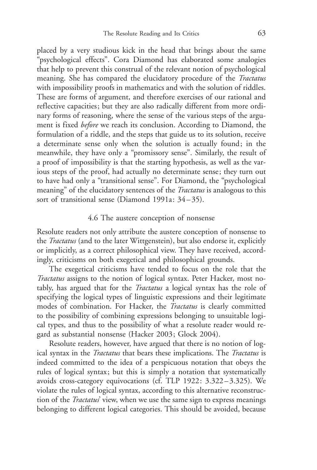placed by a very studious kick in the head that brings about the same "psychological effects". Cora Diamond has elaborated some analogies that help to prevent this construal of the relevant notion of psychological meaning. She has compared the elucidatory procedure of the *Tractatus* with impossibility proofs in mathematics and with the solution of riddles. These are forms of argument, and therefore exercises of our rational and reflective capacities; but they are also radically different from more ordinary forms of reasoning, where the sense of the various steps of the argument is fixed before we reach its conclusion. According to Diamond, the formulation of a riddle, and the steps that guide us to its solution, receive a determinate sense only when the solution is actually found; in the meanwhile, they have only a "promissory sense". Similarly, the result of a proof of impossibility is that the starting hypothesis, as well as the various steps of the proof, had actually no determinate sense; they turn out to have had only a "transitional sense". For Diamond, the "psychological meaning" of the elucidatory sentences of the *Tractatus* is analogous to this sort of transitional sense (Diamond 1991a: 34–35).

#### 4.6 The austere conception of nonsense

Resolute readers not only attribute the austere conception of nonsense to the *Tractatus* (and to the later Wittgenstein), but also endorse it, explicitly or implicitly, as a correct philosophical view. They have received, accordingly, criticisms on both exegetical and philosophical grounds.

The exegetical criticisms have tended to focus on the role that the Tractatus assigns to the notion of logical syntax. Peter Hacker, most notably, has argued that for the *Tractatus* a logical syntax has the role of specifying the logical types of linguistic expressions and their legitimate modes of combination. For Hacker, the Tractatus is clearly committed to the possibility of combining expressions belonging to unsuitable logical types, and thus to the possibility of what a resolute reader would regard as substantial nonsense (Hacker 2003; Glock 2004).

Resolute readers, however, have argued that there is no notion of logical syntax in the *Tractatus* that bears these implications. The *Tractatus* is indeed committed to the idea of a perspicuous notation that obeys the rules of logical syntax; but this is simply a notation that systematically avoids cross-category equivocations (cf. TLP 1922: 3.322 – 3.325). We violate the rules of logical syntax, according to this alternative reconstruction of the *Tractatus'* view, when we use the same sign to express meanings belonging to different logical categories. This should be avoided, because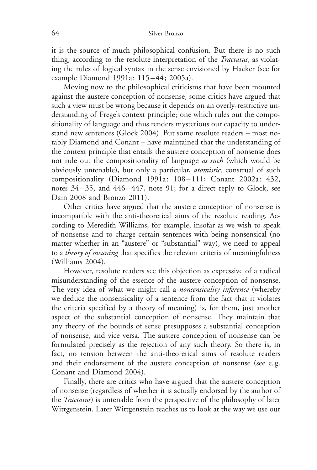it is the source of much philosophical confusion. But there is no such thing, according to the resolute interpretation of the *Tractatus*, as violating the rules of logical syntax in the sense envisioned by Hacker (see for example Diamond 1991a: 115 – 44; 2005a).

Moving now to the philosophical criticisms that have been mounted against the austere conception of nonsense, some critics have argued that such a view must be wrong because it depends on an overly-restrictive understanding of Frege's context principle; one which rules out the compositionality of language and thus renders mysterious our capacity to understand new sentences (Glock 2004). But some resolute readers – most notably Diamond and Conant – have maintained that the understanding of the context principle that entails the austere conception of nonsense does not rule out the compositionality of language as such (which would be obviously untenable), but only a particular, atomistic, construal of such compositionality (Diamond 1991a: 108 – 111; Conant 2002a: 432, notes 34 – 35, and 446 – 447, note 91; for a direct reply to Glock, see Dain 2008 and Bronzo 2011).

Other critics have argued that the austere conception of nonsense is incompatible with the anti-theoretical aims of the resolute reading. According to Meredith Williams, for example, insofar as we wish to speak of nonsense and to charge certain sentences with being nonsensical (no matter whether in an "austere" or "substantial" way), we need to appeal to a theory of meaning that specifies the relevant criteria of meaningfulness (Williams 2004).

However, resolute readers see this objection as expressive of a radical misunderstanding of the essence of the austere conception of nonsense. The very idea of what we might call a *nonsensicality inference* (whereby we deduce the nonsensicality of a sentence from the fact that it violates the criteria specified by a theory of meaning) is, for them, just another aspect of the substantial conception of nonsense. They maintain that any theory of the bounds of sense presupposes a substantial conception of nonsense, and vice versa. The austere conception of nonsense can be formulated precisely as the rejection of any such theory. So there is, in fact, no tension between the anti-theoretical aims of resolute readers and their endorsement of the austere conception of nonsense (see e. g. Conant and Diamond 2004).

Finally, there are critics who have argued that the austere conception of nonsense (regardless of whether it is actually endorsed by the author of the Tractatus) is untenable from the perspective of the philosophy of later Wittgenstein. Later Wittgenstein teaches us to look at the way we use our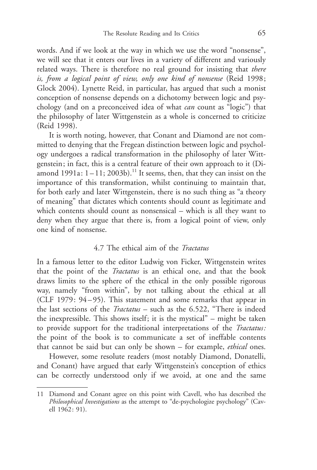words. And if we look at the way in which we use the word "nonsense", we will see that it enters our lives in a variety of different and variously related ways. There is therefore no real ground for insisting that there is, from a logical point of view, only one kind of nonsense (Reid 1998; Glock 2004). Lynette Reid, in particular, has argued that such a monist conception of nonsense depends on a dichotomy between logic and psychology (and on a preconceived idea of what can count as "logic") that the philosophy of later Wittgenstein as a whole is concerned to criticize (Reid 1998).

It is worth noting, however, that Conant and Diamond are not committed to denying that the Fregean distinction between logic and psychology undergoes a radical transformation in the philosophy of later Wittgenstein; in fact, this is a central feature of their own approach to it (Diamond 1991a:  $1-11$ ; 2003b).<sup>11</sup> It seems, then, that they can insist on the importance of this transformation, whilst continuing to maintain that, for both early and later Wittgenstein, there is no such thing as "a theory of meaning" that dictates which contents should count as legitimate and which contents should count as nonsensical – which is all they want to deny when they argue that there is, from a logical point of view, only one kind of nonsense.

#### 4.7 The ethical aim of the Tractatus

In a famous letter to the editor Ludwig von Ficker, Wittgenstein writes that the point of the Tractatus is an ethical one, and that the book draws limits to the sphere of the ethical in the only possible rigorous way, namely "from within", by not talking about the ethical at all (CLF 1979: 94-95). This statement and some remarks that appear in the last sections of the *Tractatus* – such as the 6.522, "There is indeed the inexpressible. This shows itself; it is the mystical" – might be taken to provide support for the traditional interpretations of the Tractatus: the point of the book is to communicate a set of ineffable contents that cannot be said but can only be shown – for example, ethical ones.

However, some resolute readers (most notably Diamond, Donatelli, and Conant) have argued that early Wittgenstein's conception of ethics can be correctly understood only if we avoid, at one and the same

<sup>11</sup> Diamond and Conant agree on this point with Cavell, who has described the Philosophical Investigations as the attempt to "de-psychologize psychology" (Cavell 1962: 91).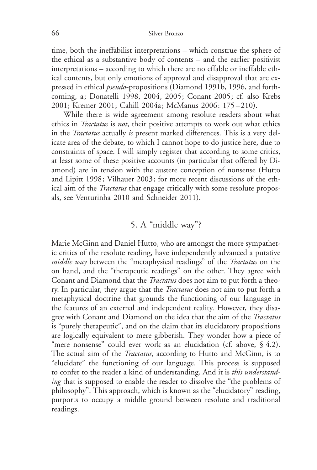time, both the ineffabilist interpretations – which construe the sphere of the ethical as a substantive body of contents – and the earlier positivist interpretations – according to which there are no effable or ineffable ethical contents, but only emotions of approval and disapproval that are expressed in ethical pseudo-propositions (Diamond 1991b, 1996, and forthcoming, a; Donatelli 1998, 2004, 2005; Conant 2005; cf. also Krebs 2001; Kremer 2001; Cahill 2004a; McManus 2006: 175 – 210).

While there is wide agreement among resolute readers about what ethics in *Tractatus* is *not*, their positive attempts to work out what ethics in the Tractatus actually is present marked differences. This is a very delicate area of the debate, to which I cannot hope to do justice here, due to constraints of space. I will simply register that according to some critics, at least some of these positive accounts (in particular that offered by Diamond) are in tension with the austere conception of nonsense (Hutto and Lipitt 1998; Vilhauer 2003; for more recent discussions of the ethical aim of the *Tractatus* that engage critically with some resolute proposals, see Venturinha 2010 and Schneider 2011).

## 5. A "middle way"?

Marie McGinn and Daniel Hutto, who are amongst the more sympathetic critics of the resolute reading, have independently advanced a putative middle way between the "metaphysical readings" of the Tractatus on the on hand, and the "therapeutic readings" on the other. They agree with Conant and Diamond that the Tractatus does not aim to put forth a theory. In particular, they argue that the *Tractatus* does not aim to put forth a metaphysical doctrine that grounds the functioning of our language in the features of an external and independent reality. However, they disagree with Conant and Diamond on the idea that the aim of the Tractatus is "purely therapeutic", and on the claim that its elucidatory propositions are logically equivalent to mere gibberish. They wonder how a piece of "mere nonsense" could ever work as an elucidation (cf. above, § 4.2). The actual aim of the *Tractatus*, according to Hutto and McGinn, is to "elucidate" the functioning of our language. This process is supposed to confer to the reader a kind of understanding. And it is this understanding that is supposed to enable the reader to dissolve the "the problems of philosophy". This approach, which is known as the "elucidatory" reading, purports to occupy a middle ground between resolute and traditional readings.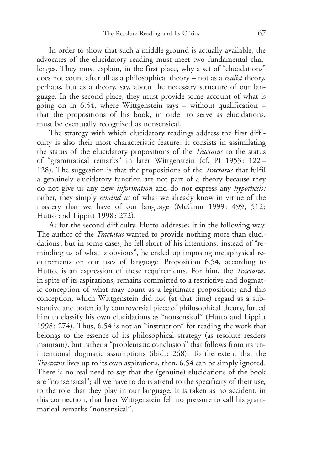In order to show that such a middle ground is actually available, the advocates of the elucidatory reading must meet two fundamental challenges. They must explain, in the first place, why a set of "elucidations" does not count after all as a philosophical theory – not as a *realist* theory, perhaps, but as a theory, say, about the necessary structure of our language. In the second place, they must provide some account of what is going on in 6.54, where Wittgenstein says – without qualification – that the propositions of his book, in order to serve as elucidations, must be eventually recognized as nonsensical.

The strategy with which elucidatory readings address the first difficulty is also their most characteristic feature: it consists in assimilating the status of the elucidatory propositions of the Tractatus to the status of "grammatical remarks" in later Wittgenstein (cf. PI 1953: 122 – 128). The suggestion is that the propositions of the Tractatus that fulfil a genuinely elucidatory function are not part of a theory because they do not give us any new information and do not express any hypothesis: rather, they simply *remind us* of what we already know in virtue of the mastery that we have of our language (McGinn 1999: 499, 512; Hutto and Lippitt 1998: 272).

As for the second difficulty, Hutto addresses it in the following way. The author of the *Tractatus* wanted to provide nothing more than elucidations; but in some cases, he fell short of his intentions: instead of "reminding us of what is obvious", he ended up imposing metaphysical requirements on our uses of language. Proposition 6.54, according to Hutto, is an expression of these requirements. For him, the Tractatus, in spite of its aspirations, remains committed to a restrictive and dogmatic conception of what may count as a legitimate proposition; and this conception, which Wittgenstein did not (at that time) regard as a substantive and potentially controversial piece of philosophical theory, forced him to classify his own elucidations as "nonsensical" (Hutto and Lippitt 1998: 274). Thus, 6.54 is not an "instruction" for reading the work that belongs to the essence of its philosophical strategy (as resolute readers maintain), but rather a "problematic conclusion" that follows from its unintentional dogmatic assumptions (ibid.: 268). To the extent that the Tractatus lives up to its own aspirations, then, 6.54 can be simply ignored. There is no real need to say that the (genuine) elucidations of the book are "nonsensical"; all we have to do is attend to the specificity of their use, to the role that they play in our language. It is taken as no accident, in this connection, that later Wittgenstein felt no pressure to call his grammatical remarks "nonsensical".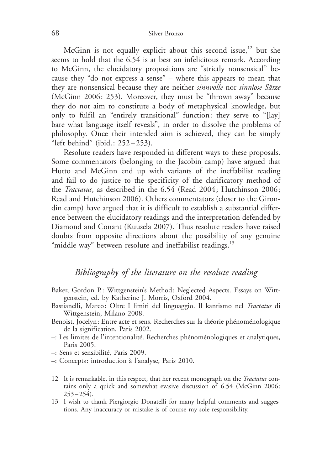McGinn is not equally explicit about this second issue,<sup>12</sup> but she seems to hold that the 6.54 is at best an infelicitous remark. According to McGinn, the elucidatory propositions are "strictly nonsensical" because they "do not express a sense" – where this appears to mean that they are nonsensical because they are neither sinnvolle nor sinnlose Sätze (McGinn 2006: 253). Moreover, they must be "thrown away" because they do not aim to constitute a body of metaphysical knowledge, but only to fulfil an "entirely transitional" function: they serve to "[lay] bare what language itself reveals", in order to dissolve the problems of philosophy. Once their intended aim is achieved, they can be simply "left behind" (ibid.: 252 – 253).

Resolute readers have responded in different ways to these proposals. Some commentators (belonging to the Jacobin camp) have argued that Hutto and McGinn end up with variants of the ineffabilist reading and fail to do justice to the specificity of the clarificatory method of the Tractatus, as described in the 6.54 (Read 2004; Hutchinson 2006; Read and Hutchinson 2006). Others commentators (closer to the Girondin camp) have argued that it is difficult to establish a substantial difference between the elucidatory readings and the interpretation defended by Diamond and Conant (Kuusela 2007). Thus resolute readers have raised doubts from opposite directions about the possibility of any genuine "middle way" between resolute and ineffabilist readings.<sup>13</sup>

# Bibliography of the literature on the resolute reading

- Baker, Gordon P.: Wittgenstein's Method: Neglected Aspects. Essays on Wittgenstein, ed. by Katherine J. Morris, Oxford 2004.
- Bastianelli, Marco: Oltre I limiti del linguaggio. Il kantismo nel Tractatus di Wittgenstein, Milano 2008.
- Benoist, Jocelyn: Entre acte et sens. Recherches sur la théorie phénoménologique de la signification, Paris 2002.
- $-$ : Les limites de l'intentionalité. Recherches phénoménologiques et analytiques, Paris 2005.

–: Sens et sensibilité, Paris 2009.

–: Concepts: introduction \$ l'analyse, Paris 2010.

<sup>12</sup> It is remarkable, in this respect, that her recent monograph on the *Tractatus* contains only a quick and somewhat evasive discussion of 6.54 (McGinn 2006:  $253 - 254$ .

<sup>13</sup> I wish to thank Piergiorgio Donatelli for many helpful comments and suggestions. Any inaccuracy or mistake is of course my sole responsibility.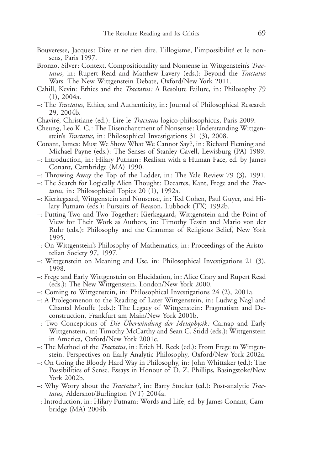- Bouveresse, Jacques: Dire et ne rien dire. L'illogisme, l'impossibilité et le nonsens, Paris 1997.
- Bronzo, Silver: Context, Compositionality and Nonsense in Wittgenstein's Tractatus, in: Rupert Read and Matthew Lavery (eds.): Beyond the Tractatus Wars. The New Wittgenstein Debate, Oxford/New York 2011.
- Cahill, Kevin: Ethics and the Tractatus: A Resolute Failure, in: Philosophy 79  $(1), 2004a.$
- –: The Tractatus, Ethics, and Authenticity, in: Journal of Philosophical Research 29, 2004b.
- Chaviré, Christiane (ed.): Lire le *Tractatus* logico-philosophicus, Paris 2009.
- Cheung, Leo K. C.: The Disenchantment of Nonsense: Understanding Wittgenstein's Tractatus, in: Philosophical Investigations 31 (3), 2008.
- Conant, James: Must We Show What We Cannot Say ?, in: Richard Fleming and Michael Payne (eds.): The Senses of Stanley Cavell, Lewisburg (PA) 1989.
- –: Introduction, in: Hilary Putnam: Realism with a Human Face, ed. by James Conant, Cambridge (MA) 1990.
- –: Throwing Away the Top of the Ladder, in: The Yale Review 79 (3), 1991.
- –: The Search for Logically Alien Thought: Decartes, Kant, Frege and the Tractatus, in: Philosophical Topics 20 (1), 1992a.
- –: Kierkegaard, Wittgenstein and Nonsense, in: Ted Cohen, Paul Guyer, and Hilary Putnam (eds.): Pursuits of Reason, Lubbock (TX) 1992b.
- –: Putting Two and Two Together: Kierkegaard, Wittgenstein and the Point of View for Their Work as Authors, in: Timothy Tessin and Mario von der Ruhr (eds.): Philosophy and the Grammar of Religious Belief, New York 1995.
- –: On Wittgenstein's Philosophy of Mathematics, in: Proceedings of the Aristotelian Society 97, 1997.
- –: Wittgenstein on Meaning and Use, in: Philosophical Investigations 21 (3), 1998.
- –: Frege and Early Wittgenstein on Elucidation, in: Alice Crary and Rupert Read (eds.): The New Wittgenstein, London/New York 2000.
- –: Coming to Wittgenstein, in: Philosophical Investigations 24 (2), 2001a.
- –: A Prolegomenon to the Reading of Later Wittgenstein, in: Ludwig Nagl and Chantal Mouffe (eds.): The Legacy of Wittgenstein: Pragmatism and Deconstruction, Frankfurt am Main/New York 2001b.
- -: Two Conceptions of Die Überwindung der Metaphysik: Carnap and Early Wittgenstein, in: Timothy McCarthy and Sean C. Stidd (eds.): Wittgenstein in America, Oxford/New York 2001c.
- –: The Method of the Tractatus, in: Erich H. Reck (ed.): From Frege to Wittgenstein. Perspectives on Early Analytic Philosophy, Oxford/New York 2002a.
- –: On Going the Bloody Hard Way in Philosophy, in: John Whittaker (ed.): The Possibilities of Sense. Essays in Honour of D. Z. Phillips, Basingstoke/New York 2002b.
- –: Why Worry about the Tractatus ?, in: Barry Stocker (ed.): Post-analytic Tractatus, Aldershot/Burlington (VT) 2004a.
- –: Introduction, in: Hilary Putnam: Words and Life, ed. by James Conant, Cambridge (MA) 2004b.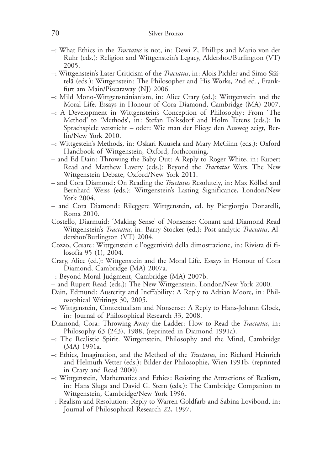- –: What Ethics in the Tractatus is not, in: Dewi Z. Phillips and Mario von der Ruhr (eds.): Religion and Wittgenstein's Legacy, Aldershot/Burlington (VT) 2005.
- –: Wittgenstein's Later Criticism of the *Tractatus*, in: Alois Pichler and Simo Säätelä (eds.): Wittgenstein: The Philosopher and His Works, 2nd ed., Frankfurt am Main/Piscataway (NJ) 2006.
- –: Mild Mono-Wittgensteinianism, in: Alice Crary (ed.): Wittgenstein and the Moral Life. Essays in Honour of Cora Diamond, Cambridge (MA) 2007.
- –: A Development in Wittgenstein's Conception of Philosophy: From 'The Method' to 'Methods', in: Stefan Tolksdorf and Holm Tetens (eds.): In Sprachspiele verstricht – oder: Wie man der Fliege den Ausweg zeigt, Berlin/New York 2010.
- –: Wittgestein's Methods, in: Oskari Kuusela and Mary McGinn (eds.): Oxford Handbook of Wittgenstein, Oxford, forthcoming.
- and Ed Dain: Throwing the Baby Out: A Reply to Roger White, in: Rupert Read and Matthew Lavery (eds.): Beyond the Tractatus Wars. The New Wittgenstein Debate, Oxford/New York 2011.
- and Cora Diamond: On Reading the *Tractatus* Resolutely, in: Max Kölbel and Bernhard Weiss (eds.): Wittgenstein's Lasting Significance, London/New York 2004.
- and Cora Diamond: Rileggere Wittgenstein, ed. by Piergiorgio Donatelli, Roma 2010.
- Costello, Diarmuid: 'Making Sense' of Nonsense: Conant and Diamond Read Wittgenstein's Tractatus, in: Barry Stocker (ed.): Post-analytic Tractatus, Aldershot/Burlington (VT) 2004.
- Cozzo, Cesare: Wittgenstein e l'oggettività della dimostrazione, in: Rivista di filosofia 95 (1), 2004.
- Crary, Alice (ed.): Wittgenstein and the Moral Life. Essays in Honour of Cora Diamond, Cambridge (MA) 2007a.
- –: Beyond Moral Judgment, Cambridge (MA) 2007b.
- and Rupert Read (eds.): The New Wittgenstein, London/New York 2000.
- Dain, Edmund: Austerity and Ineffability: A Reply to Adrian Moore, in: Philosophical Writings 30, 2005.
- –: Wittgenstein, Contextualism and Nonsense: A Reply to Hans-Johann Glock, in: Journal of Philosophical Research 33, 2008.
- Diamond, Cora: Throwing Away the Ladder: How to Read the Tractatus, in: Philosophy 63 (243), 1988, (reprinted in Diamond 1991a).
- –: The Realistic Spirit. Wittgenstein, Philosophy and the Mind, Cambridge (MA) 1991a.
- –: Ethics, Imagination, and the Method of the Tractatus, in: Richard Heinrich and Helmuth Vetter (eds.): Bilder der Philosophie, Wien 1991b, (reprinted in Crary and Read 2000).
- –: Wittgenstein, Mathematics and Ethics: Resisting the Attractions of Realism, in: Hans Sluga and David G. Stern (eds.): The Cambridge Companion to Wittgenstein, Cambridge/New York 1996.
- –: Realism and Resolution: Reply to Warren Goldfarb and Sabina Lovibond, in: Journal of Philosophical Research 22, 1997.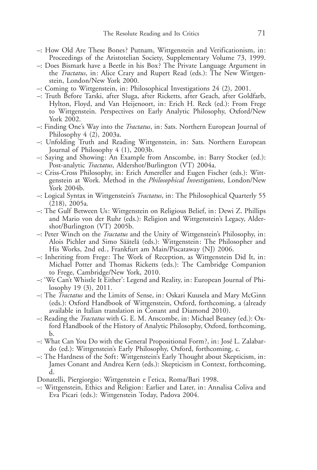- –: How Old Are These Bones ? Putnam, Wittgenstein and Verificationism, in: Proceedings of the Aristotelian Society, Supplementary Volume 73, 1999.
- –: Does Bismark have a Beetle in his Box ? The Private Language Argument in the *Tractatus*, in: Alice Crary and Rupert Read (eds.): The New Wittgenstein, London/New York 2000.
- –: Coming to Wittgenstein, in: Philosophical Investigations 24 (2), 2001.
- –: Truth Before Tarski, after Sluga, after Ricketts, after Geach, after Goldfarb, Hylton, Floyd, and Van Heijenoort, in: Erich H. Reck (ed.): From Frege to Wittgenstein. Perspectives on Early Analytic Philosophy, Oxford/New York 2002.
- –: Finding One's Way into the Tractatus, in: Sats. Northern European Journal of Philosophy 4 (2), 2003a.
- –: Unfolding Truth and Reading Wittgenstein, in: Sats. Northern European Journal of Philosophy 4 (1), 2003b.
- –: Saying and Showing: An Example from Anscombe, in: Barry Stocker (ed.): Post-analytic Tractatus, Aldershot/Burlington (VT) 2004a.
- –: Criss-Cross Philosophy, in: Erich Amereller and Eugen Fischer (eds.): Wittgenstein at Work. Method in the *Philosophical Investigations*, London/New York 2004b.
- –: Logical Syntax in Wittgenstein's Tractatus, in: The Philosophical Quarterly 55 (218), 2005a.
- –: The Gulf Between Us: Wittgenstein on Religious Belief, in: Dewi Z. Phillips and Mario von der Ruhr (eds.): Religion and Wittgenstein's Legacy, Aldershot/Burlington (VT) 2005b.
- –: Peter Winch on the Tractatus and the Unity of Wittgenstein's Philosophy, in: Alois Pichler and Simo Säätelä (eds.): Wittgenstein: The Philosopher and His Works, 2nd ed., Frankfurt am Main/Piscataway (NJ) 2006.
- –: Inheriting from Frege: The Work of Reception, as Wittgenstein Did It, in: Michael Potter and Thomas Ricketts (eds.): The Cambridge Companion to Frege, Cambridge/New York, 2010.
- –: 'We Can't Whistle It Either': Legend and Reality, in: European Journal of Philosophy 19 (3), 2011.
- –: The Tractatus and the Limits of Sense, in: Oskari Kuusela and Mary McGinn (eds.): Oxford Handbook of Wittgenstein, Oxford, forthcoming, a (already available in Italian translation in Conant and Diamond 2010).
- –: Reading the Tractatus with G. E. M. Anscombe, in: Michael Beaney (ed.): Oxford Handbook of the History of Analytic Philosophy, Oxford, forthcoming, b.
- –: What Can You Do with the General Propositional Form?, in: José L. Zalabardo (ed.): Wittgenstein's Early Philosophy, Oxford, forthcoming, c.
- –: The Hardness of the Soft: Wittgenstein's Early Thought about Skepticism, in: James Conant and Andrea Kern (eds.): Skepticism in Context, forthcoming, d.
- Donatelli, Piergiorgio: Wittgenstein e l'etica, Roma/Bari 1998.
- –: Wittgenstein, Ethics and Religion: Earlier and Later, in: Annalisa Coliva and Eva Picari (eds.): Wittgenstein Today, Padova 2004.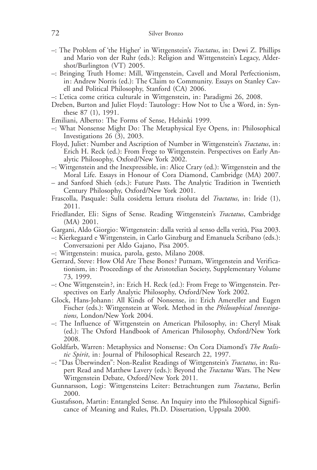- –: The Problem of 'the Higher' in Wittgenstein's Tractatus, in: Dewi Z. Phillips and Mario von der Ruhr (eds.): Religion and Wittgenstein's Legacy, Aldershot/Burlington (VT) 2005.
- –: Bringing Truth Home: Mill, Wittgenstein, Cavell and Moral Perfectionism, in: Andrew Norris (ed.): The Claim to Community. Essays on Stanley Cavell and Political Philosophy, Stanford (CA) 2006.
- –: L'etica come critica culturale in Wittgenstein, in: Paradigmi 26, 2008.
- Dreben, Burton and Juliet Floyd: Tautology: How Not to Use a Word, in: Synthese 87 (1), 1991.
- Emiliani, Alberto: The Forms of Sense, Helsinki 1999.
- –: What Nonsense Might Do: The Metaphysical Eye Opens, in: Philosophical Investigations 26 (3), 2003.
- Floyd, Juliet: Number and Ascription of Number in Wittgenstein's *Tractatus*, in: Erich H. Reck (ed.): From Frege to Wittgenstein. Perspectives on Early Analytic Philosophy, Oxford/New York 2002.
- –: Wittgenstein and the Inexpressible, in: Alice Crary (ed.): Wittgenstein and the Moral Life. Essays in Honour of Cora Diamond, Cambridge (MA) 2007.
- and Sanford Shieh (eds.): Future Pasts. The Analytic Tradition in Twentieth Century Philosophy, Oxford/New York 2001.
- Frascolla, Pasquale: Sulla cosidetta lettura risoluta del Tractatus, in: Iride (1), 2011.
- Friedlander, Eli: Signs of Sense. Reading Wittgenstein's Tractatus, Cambridge (MA) 2001.
- Gargani, Aldo Giorgio: Wittgenstein: dalla verità al senso della verità, Pisa 2003.
- –: Kierkegaard e Wittgenstein, in Carlo Ginzburg and Emanuela Scribano (eds.): Conversazioni per Aldo Gajano, Pisa 2005.
- –: Wittgenstein: musica, parola, gesto, Milano 2008.
- Gerrard, Steve: How Old Are These Bones ? Putnam, Wittgenstein and Verificationism, in: Proceedings of the Aristotelian Society, Supplementary Volume 73, 1999.
- –: One Wittgenstein ?, in: Erich H. Reck (ed.): From Frege to Wittgenstein. Perspectives on Early Analytic Philosophy, Oxford/New York 2002.
- Glock, Hans-Johann: All Kinds of Nonsense, in: Erich Amereller and Eugen Fischer (eds.): Wittgenstein at Work. Method in the Philosophical Investigations, London/New York 2004.
- –: The Influence of Wittgenstein on American Philosophy, in: Cheryl Misak (ed.): The Oxford Handbook of American Philosophy, Oxford/New York 2008.
- Goldfarb, Warren: Metaphysics and Nonsense: On Cora Diamond's The Realistic Spirit, in: Journal of Philosophical Research 22, 1997.
- $-$ : "Das Überwinden": Non-Realist Readings of Wittgenstein's *Tractatus*, in: Rupert Read and Matthew Lavery (eds.): Beyond the *Tractatus* Wars. The New Wittgenstein Debate, Oxford/New York 2011.
- Gunnarsson, Logi: Wittgensteins Leiter: Betrachtungen zum Tractatus, Berlin 2000.
- Gustafsson, Martin: Entangled Sense. An Inquiry into the Philosophical Significance of Meaning and Rules, Ph.D. Dissertation, Uppsala 2000.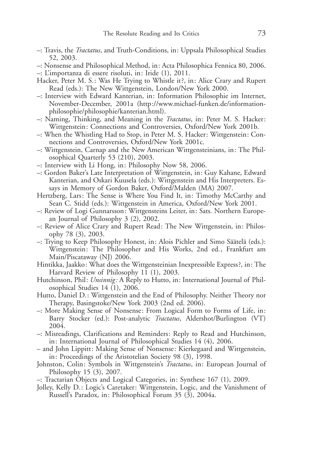- –: Travis, the Tractatus, and Truth-Conditions, in: Uppsala Philosophical Studies 52, 2003.
- –: Nonsense and Philosophical Method, in: Acta Philosophica Fennica 80, 2006.
- –: L'importanza di essere risoluti, in: Iride (1), 2011.
- Hacker, Peter M. S.: Was He Trying to Whistle it?, in: Alice Crary and Rupert Read (eds.): The New Wittgenstein, London/New York 2000.
- –: Interview with Edward Kanterian, in: Information Philosophie im Internet, November-December, 2001a (http://www.michael-funken.de/informationphilosophie/philosophie/kanterian.html).
- $-$ : Naming, Thinking, and Meaning in the *Tractatus*, in: Peter M. S. Hacker: Wittgenstein: Connections and Controversies, Oxford/New York 2001b.
- –: When the Whistling Had to Stop, in Peter M. S. Hacker: Wittgenstein: Connections and Controversies, Oxford/New York 2001c.
- –: Wittgenstein, Carnap and the New American Wittgensteinians, in: The Philosophical Quarterly 53 (210), 2003.
- –: Interview with Li Hong, in: Philosophy Now 58, 2006.
- –: Gordon Baker's Late Interpretation of Wittgenstein, in: Guy Kahane, Edward Kanterian, and Oskari Kuusela (eds.): Wittgenstein and His Interpreters. Essays in Memory of Gordon Baker, Oxford/Malden (MA) 2007.
- Hertzberg, Lars: The Sense is Where You Find It, in: Timothy McCarthy and Sean C. Stidd (eds.): Wittgenstein in America, Oxford/New York 2001.
- –: Review of Logi Gunnarsson: Wittgensteins Leiter, in: Sats. Northern European Journal of Philosophy 3 (2), 2002.
- –: Review of Alice Crary and Rupert Read: The New Wittgenstein, in: Philosophy 78 (3), 2003.
- $-$ : Trying to Keep Philosophy Honest, in: Alois Pichler and Simo Säätelä (eds.): Wittgenstein: The Philosopher and His Works, 2nd ed., Frankfurt am Main/Piscataway (NJ) 2006.
- Hintikka, Jaakko: What does the Wittgensteinian Inexpressible Express ?, in: The Harvard Review of Philosophy 11 (1), 2003.
- Hutchinson, Phil: Unsinnig: A Reply to Hutto, in: International Journal of Philosophical Studies 14 (1), 2006.
- Hutto, Daniel D.: Wittgenstein and the End of Philosophy. Neither Theory nor Therapy, Basingstoke/New York 2003 (2nd ed. 2006).
- –: More Making Sense of Nonsense: From Logical Form to Forms of Life, in: Barry Stocker (ed.): Post-analytic *Tractatus*, Aldershot/Burlington (VT) 2004.
- –: Misreadings, Clarifications and Reminders: Reply to Read and Hutchinson, in: International Journal of Philosophical Studies 14 (4), 2006.
- and John Lippitt: Making Sense of Nonsense: Kierkegaard and Wittgenstein, in: Proceedings of the Aristotelian Society 98 (3), 1998.
- Johnston, Colin: Symbols in Wittgenstein's *Tractatus*, in: European Journal of Philosophy 15 (3), 2007.
- –: Tractarian Objects and Logical Categories, in: Synthese 167 (1), 2009.
- Jolley, Kelly D.: Logic's Caretaker: Wittgenstein, Logic, and the Vanishment of Russell's Paradox, in: Philosophical Forum 35 (3), 2004a.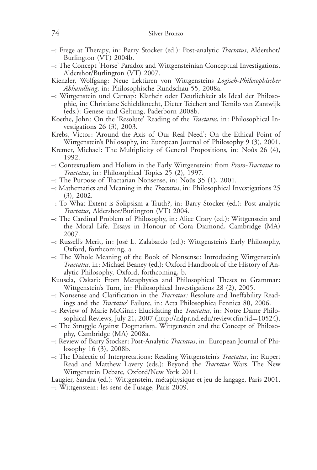- –: Frege at Therapy, in: Barry Stocker (ed.): Post-analytic Tractatus, Aldershot/ Burlington (VT) 2004b.
- –: The Concept 'Horse' Paradox and Wittgensteinian Conceptual Investigations, Aldershot/Burlington (VT) 2007.
- Kienzler, Wolfgang: Neue Lektüren von Wittgensteins Logisch-Philosophischer Abhandlung, in: Philosophische Rundschau 55, 2008a.
- –: Wittgenstein und Carnap: Klarheit oder Deutlichkeit als Ideal der Philosophie, in: Christiane Schieldknecht, Dieter Teichert and Temilo van Zantwijk (eds.): Genese und Geltung, Paderborn 2008b.
- Koethe, John: On the 'Resolute' Reading of the Tractatus, in: Philosophical Investigations 26 (3), 2003.
- Krebs, Victor: 'Around the Axis of Our Real Need': On the Ethical Point of Wittgenstein's Philosophy, in: European Journal of Philosophy 9 (3), 2001.
- Kremer, Michael: The Multiplicity of General Propositions, in: Noûs 26 (4), 1992.
- –: Contextualism and Holism in the Early Wittgenstein: from Proto-Tractatus to Tractatus, in: Philosophical Topics 25 (2), 1997.
- $-$ : The Purpose of Tractarian Nonsense, in: Noûs 35 (1), 2001.
- –: Mathematics and Meaning in the Tractatus, in: Philosophical Investigations 25 (3), 2002.
- –: To What Extent is Solipsism a Truth ?, in: Barry Stocker (ed.): Post-analytic Tractatus, Aldershot/Burlington (VT) 2004.
- –: The Cardinal Problem of Philosophy, in: Alice Crary (ed.): Wittgenstein and the Moral Life. Essays in Honour of Cora Diamond, Cambridge (MA) 2007.
- -: Russell's Merit, in: José L. Zalabardo (ed.): Wittgenstein's Early Philosophy, Oxford, forthcoming, a.
- –: The Whole Meaning of the Book of Nonsense: Introducing Wittgenstein's Tractatus, in: Michael Beaney (ed.): Oxford Handbook of the History of Analytic Philosophy, Oxford, forthcoming, b.
- Kuusela, Oskari: From Metaphysics and Philosophical Theses to Grammar: Wittgenstein's Turn, in: Philosophical Investigations 28 (2), 2005.
- –: Nonsense and Clarification in the Tractatus: Resolute and Ineffability Readings and the Tractatus' Failure, in: Acta Philosophica Fennica 80, 2006.
- –: Review of Marie McGinn: Elucidating the Tractatus, in: Notre Dame Philosophical Reviews, July 21, 2007 (http://ndpr.nd.edu/review.cfm?id=10524).
- –: The Struggle Against Dogmatism. Wittgenstein and the Concept of Philosophy, Cambridge (MA) 2008a.
- –: Review of Barry Stocker: Post-Analytic Tractatus, in: European Journal of Philosophy 16 (3), 2008b.
- –: The Dialectic of Interpretations: Reading Wittgenstein's Tractatus, in: Rupert Read and Matthew Lavery (eds.): Beyond the Tractatus Wars. The New Wittgenstein Debate, Oxford/New York 2011.
- Laugier, Sandra (ed.): Wittgenstein, métaphysique et jeu de langage, Paris 2001.
- –: Wittgenstein: les sens de l'usage, Paris 2009.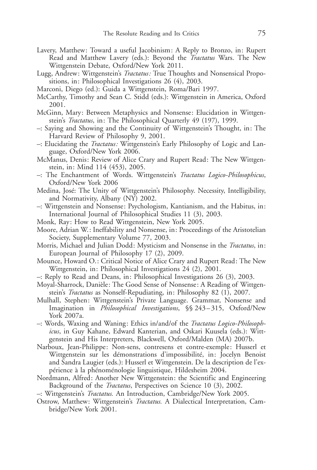- Lavery, Matthew: Toward a useful Jacobinism: A Reply to Bronzo, in: Rupert Read and Matthew Lavery (eds.): Beyond the *Tractatus* Wars. The New Wittgenstein Debate, Oxford/New York 2011.
- Lugg, Andrew: Wittgenstein's *Tractatus:* True Thoughts and Nonsensical Propositions, in: Philosophical Investigations 26 (4), 2003.
- Marconi, Diego (ed.): Guida a Wittgenstein, Roma/Bari 1997.
- McCarthy, Timothy and Sean C. Stidd (eds.): Wittgenstein in America, Oxford 2001.
- McGinn, Mary: Between Metaphysics and Nonsense: Elucidation in Wittgenstein's Tractatus, in: The Philosophical Quarterly 49 (197), 1999.
- –: Saying and Showing and the Continuity of Wittgenstein's Thought, in: The Harvard Review of Philosophy 9, 2001.
- –: Elucidating the Tractatus: Wittgenstein's Early Philosophy of Logic and Language, Oxford/New York 2006.
- McManus, Denis: Review of Alice Crary and Rupert Read: The New Wittgenstein, in: Mind 114 (453), 2005.
- –: The Enchantment of Words. Wittgenstein's Tractatus Logico-Philosophicus, Oxford/New York 2006
- Medina, José: The Unity of Wittgenstein's Philosophy. Necessity, Intelligibility, and Normativity, Albany (NY) 2002.
- –: Wittgenstein and Nonsense: Psychologism, Kantianism, and the Habitus, in: International Journal of Philosophical Studies 11 (3), 2003.
- Monk, Ray: How to Read Wittgenstein, New York 2005.
- Moore, Adrian W.: Ineffability and Nonsense, in: Proceedings of the Aristotelian Society, Supplementary Volume 77, 2003.
- Morris, Michael and Julian Dodd: Mysticism and Nonsense in the *Tractatus*, in: European Journal of Philosophy 17 (2), 2009.
- Mounce, Howard O.: Critical Notice of Alice Crary and Rupert Read: The New Wittgenstein, in: Philosophical Investigations 24 (2), 2001.
- –: Reply to Read and Deans, in: Philosophical Investigations 26 (3), 2003.
- Moyal-Sharrock, Danièle: The Good Sense of Nonsense: A Reading of Wittgenstein's Tractatus as Nonself-Repudiating, in: Philosophy 82 (1), 2007.
- Mulhall, Stephen: Wittgenstein's Private Language. Grammar, Nonsense and Imagination in Philosophical Investigations, §§ 243 – 315, Oxford/New York 2007a.
- –: Words, Waxing and Waning: Ethics in/and/of the Tractatus Logico-Philosophicus, in Guy Kahane, Edward Kanterian, and Oskari Kuusela (eds.): Wittgenstein and His Interpreters, Blackwell, Oxford/Malden (MA) 2007b.
- Narboux, Jean-Philippe: Non-sens, contresens et contre-exemple: Husserl et Wittgenstein sur les démonstrations d'impossibilité, in: Jocelyn Benoist and Sandra Laugier (eds.): Husserl et Wittgenstein. De la description de l'expérience à la phénoménologie linguistique, Hildesheim 2004.
- Nordmann, Alfred: Another New Wittgenstein: the Scientific and Engineering Background of the *Tractatus*, Perspectives on Science 10 (3), 2002.
- –: Wittgenstein's Tractatus. An Introduction, Cambridge/New York 2005.
- Ostrow, Matthew: Wittgenstein's *Tractatus*. A Dialectical Interpretation, Cambridge/New York 2001.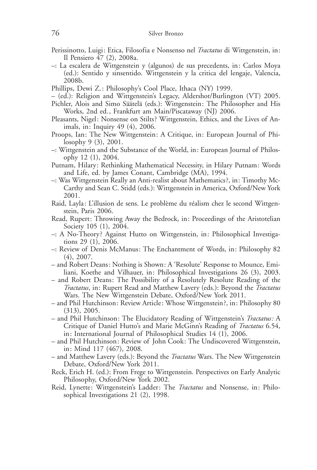- Perissinotto, Luigi: Etica, Filosofia e Nonsenso nel Tractatus di Wittgenstein, in: Il Pensiero 47 (2), 2008a.
- –: La escalera de Wittgenstein y (algunos) de sus precedents, in: Carlos Moya (ed.): Sentido y sinsentido. Wittgenstein y la critica del lengaje, Valencia, 2008b.
- Phillips, Dewi Z.: Philosophy's Cool Place, Ithaca (NY) 1999.
- (ed.): Religion and Wittgenstein's Legacy, Aldershot/Burlington (VT) 2005.
- Pichler, Alois and Simo Säätelä (eds.): Wittgenstein: The Philosopher and His Works, 2nd ed., Frankfurt am Main/Piscataway (NJ) 2006.
- Pleasants, Nigel: Nonsense on Stilts ? Wittgenstein, Ethics, and the Lives of Animals, in: Inquiry 49 (4), 2006.
- Proops, Ian: The New Wittgenstein: A Critique, in: European Journal of Philosophy 9 (3), 2001.
- –: Wittgenstein and the Substance of the World, in: European Journal of Philosophy 12 (1), 2004.
- Putnam, Hilary: Rethinking Mathematical Necessity, in Hilary Putnam: Words and Life, ed. by James Conant, Cambridge (MA), 1994.
- –: Was Wittgenstein Really an Anti-realist about Mathematics ?, in: Timothy Mc-Carthy and Sean C. Stidd (eds.): Wittgenstein in America, Oxford/New York 2001.
- Raid, Layla: L'illusion de sens. Le problème du réalism chez le second Wittgenstein, Paris 2006.
- Read, Rupert: Throwing Away the Bedrock, in: Proceedings of the Aristotelian Society 105 (1), 2004.
- –: A No-Theory ? Against Hutto on Wittgenstein, in: Philosophical Investigations 29 (1), 2006.
- –: Review of Denis McManus: The Enchantment of Words, in: Philosophy 82 (4), 2007.
- and Robert Deans: Nothing is Shown: A 'Resolute' Response to Mounce, Emiliani, Koethe and Vilhauer, in: Philosophical Investigations 26 (3), 2003.
- and Robert Deans: The Possibility of a Resolutely Resolute Reading of the Tractatus, in: Rupert Read and Matthew Lavery (eds.): Beyond the Tractatus Wars. The New Wittgenstein Debate, Oxford/New York 2011.
- and Phil Hutchinson: Review Article: Whose Wittgenstein ?, in: Philosophy 80 (313), 2005.
- and Phil Hutchinson: The Elucidatory Reading of Wittgenstein's Tractatus: A Critique of Daniel Hutto's and Marie McGinn's Reading of Tractatus 6.54, in: International Journal of Philosophical Studies 14 (1), 2006.
- and Phil Hutchinson: Review of John Cook: The Undiscovered Wittgenstein, in: Mind 117 (467), 2008.
- and Matthew Lavery (eds.): Beyond the *Tractatus* Wars. The New Wittgenstein Debate, Oxford/New York 2011.
- Reck, Erich H. (ed.): From Frege to Wittgenstein. Perspectives on Early Analytic Philosophy, Oxford/New York 2002.
- Reid, Lynette: Wittgenstein's Ladder: The Tractatus and Nonsense, in: Philosophical Investigations 21 (2), 1998.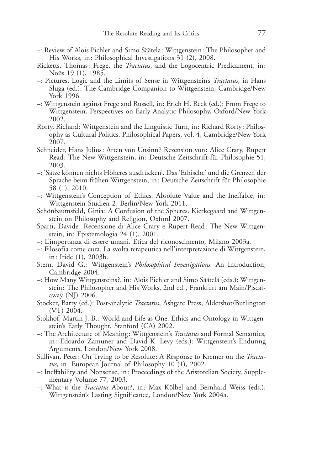- -: Review of Alois Pichler and Simo Säätela: Wittgenstein: The Philosopher and His Works, in: Philosophical Investigations 31 (2), 2008.
- Ricketts, Thomas: Frege, the Tractatus, and the Logocentric Predicament, in: Noûs 19 (1), 1985.
- –: Pictures, Logic and the Limits of Sense in Wittgenstein's Tractatus, in Hans Sluga (ed.): The Cambridge Companion to Wittgenstein, Cambridge/New York 1996.
- –: Wittgenstein against Frege and Russell, in: Erich H. Reck (ed.): From Frege to Wittgenstein. Perspectives on Early Analytic Philosophy, Oxford/New York 2002.
- Rorty, Richard: Wittgenstein and the Linguistic Turn, in: Richard Rorty: Philosophy as Cultural Politics. Philosophical Papers, vol. 4, Cambridge/New York 2007.
- Schneider, Hans Julius: Arten von Unsinn? Rezension von: Alice Crary, Rupert Read: The New Wittgenstein, in: Deutsche Zeitschrift für Philosophie 51, 2003.
- -: 'Sätze können nichts Höheres ausdrücken'. Das 'Ethische' und die Grenzen der Sprache beim frühen Wittgenstein, in: Deutsche Zeitschrift für Philosophie 58 (1), 2010.
- –: Wittgenstein's Conception of Ethics. Absolute Value and the Ineffable, in: Wittgenstein-Studien 2, Berlin/New York 2011.
- Schönbaumsfeld, Ginia: A Confusion of the Spheres. Kierkegaard and Wittgenstein on Philosophy and Religion, Oxford 2007.
- Sparti, Davide: Recensione di Alice Crary e Rupert Read: The New Wittgenstein, in: Epistemologia 24 (1), 2001.
- –: L'importanza di essere umani. Etica del riconoscimento, Milano 2003a.
- –: Filosofia come cura. La svolta terapeutica nell'interpretazione di Wittgenstein, in: Iride (1), 2003b.
- Stern, David G.: Wittgenstein's Philosophical Investigations. An Introduction, Cambridge 2004.
- $-$ : How Many Wittgensteins?, in: Alois Pichler and Simo Säätelä (eds.): Wittgenstein: The Philosopher and His Works, 2nd ed., Frankfurt am Main/Piscataway (NJ) 2006.
- Stocker, Barry (ed.): Post-analytic Tractatus, Ashgate Press, Aldershot/Burlington (VT) 2004.
- Stokhof, Martin J. B.: World and Life as One. Ethics and Ontology in Wittgenstein's Early Thought, Stanford (CA) 2002.
- –: The Architecture of Meaning: Wittgenstein's Tractatus and Formal Semantics, in: Edoardo Zamuner and David K. Levy (eds.): Wittgenstein's Enduring Arguments, London/New York 2008.
- Sullivan, Peter: On Trying to be Resolute: A Response to Kremer on the Tractatus, in: European Journal of Philosophy 10 (1), 2002.
- –: Ineffability and Nonsense, in: Proceedings of the Aristotelian Society, Supplementary Volume 77, 2003.
- -: What is the *Tractatus* About?, in: Max Kölbel and Bernhard Weiss (eds.): Wittgenstein's Lasting Significance, London/New York 2004a.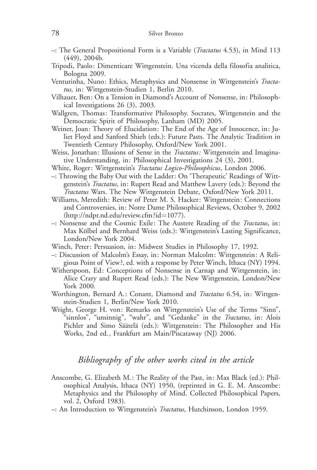- –: The General Propositional Form is a Variable (Tractatus 4.53), in Mind 113 (449), 2004b.
- Tripodi, Paolo: Dimenticare Wittgenstein. Una vicenda della filosofia analitica, Bologna 2009.
- Venturinha, Nuno: Ethics, Metaphysics and Nonsense in Wittgenstein's Tractatus, in: Wittgenstein-Studien 1, Berlin 2010.
- Vilhauer, Ben: On a Tension in Diamond's Account of Nonsense, in: Philosophical Investigations 26 (3), 2003.
- Wallgren, Thomas: Transformative Philosophy. Socrates, Wittgenstein and the Democratic Spirit of Philosophy, Lanham (MD) 2005.
- Weiner, Joan: Theory of Elucidation: The End of the Age of Innocence, in: Juliet Floyd and Sanford Shieh (eds.): Future Pasts. The Analytic Tradition in Twentieth Century Philosophy, Oxford/New York 2001.
- Weiss, Jonathan: Illusions of Sense in the *Tractatus:* Wittgenstein and Imaginative Understanding, in: Philosophical Investigations 24 (3), 2001.
- White, Roger: Wittgenstein's Tractatus Logico-Philosophicus, London 2006.
- –: Throwing the Baby Out with the Ladder: On 'Therapeutic' Readings of Wittgenstein's Tractatus, in: Rupert Read and Matthew Lavery (eds.): Beyond the Tractatus Wars. The New Wittgenstein Debate, Oxford/New York 2011.
- Williams, Meredith: Review of Peter M. S. Hacker: Wittgenstein: Connections and Controversies, in: Notre Dame Philosophical Reviews, October 9, 2002 (http://ndpr.nd.edu/review.cfm ?id=1077).
- –: Nonsense and the Cosmic Exile: The Austere Reading of the Tractatus, in: Max Kölbel and Bernhard Weiss (eds.): Wittgenstein's Lasting Significance, London/New York 2004.
- Winch, Peter: Persuasion, in: Midwest Studies in Philosophy 17, 1992.
- –: Discussion of Malcolm's Essay, in: Norman Malcolm: Wittgenstein: A Religious Point of View ?, ed. with a response by Peter Winch, Ithaca (NY) 1994.
- Witherspoon, Ed: Conceptions of Nonsense in Carnap and Wittgenstein, in: Alice Crary and Rupert Read (eds.): The New Wittgenstein, London/New York 2000.
- Worthington, Bernard A.: Conant, Diamond and *Tractatus* 6.54, in: Wittgenstein-Studien 1, Berlin/New York 2010.
- Wright, George H. von: Remarks on Wittgenstein's Use of the Terms "Sinn", "sinnlos", "unsinnig", "wahr", and "Gedanke" in the Tractatus, in: Alois Pichler and Simo Säätelä (eds.): Wittgenstein: The Philosopher and His Works, 2nd ed., Frankfurt am Main/Piscataway (NJ) 2006.

### Bibliography of the other works cited in the article

- Anscombe, G. Elizabeth M.: The Reality of the Past, in: Max Black (ed.): Philosophical Analysis, Ithaca (NY) 1950, (reprinted in G. E. M. Anscombe: Metaphysics and the Philosophy of Mind. Collected Philosophical Papers, vol. 2, Oxford 1983).
- –: An Introduction to Wittgenstein's Tractatus, Hutchinson, London 1959.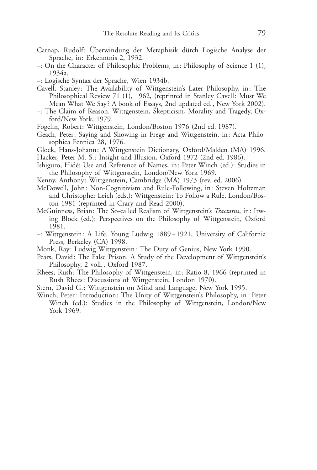- Carnap, Rudolf: Überwindung der Metaphisik dürch Logische Analyse der Sprache, in: Erkenntnis 2, 1932.
- –: On the Character of Philosophic Problems, in: Philosophy of Science 1 (1), 1934a.
- –: Logische Syntax der Sprache, Wien 1934b.
- Cavell, Stanley: The Availability of Wittgenstein's Later Philosophy, in: The Philosophical Review 71 (1), 1962, (reprinted in Stanley Cavell: Must We Mean What We Say? A book of Essays, 2nd updated ed., New York 2002).
- –: The Claim of Reason. Wittgenstein, Skepticism, Morality and Tragedy, Oxford/New York, 1979.
- Fogelin, Robert: Wittgenstein, London/Boston 1976 (2nd ed. 1987).
- Geach, Peter: Saying and Showing in Frege and Wittgenstein, in: Acta Philosophica Fennica 28, 1976.
- Glock, Hans-Johann: A Wittgenstein Dictionary, Oxford/Malden (MA) 1996.
- Hacker, Peter M. S.: Insight and Illusion, Oxford 1972 (2nd ed. 1986).
- Ishiguro, Hidé: Use and Reference of Names, in: Peter Winch (ed.): Studies in the Philosophy of Wittgenstein, London/New York 1969.
- Kenny, Anthony: Wittgenstein, Cambridge (MA) 1973 (rev. ed. 2006).
- McDowell, John: Non-Cognitivism and Rule-Following, in: Steven Holtzman and Christopher Leich (eds.): Wittgenstein: To Follow a Rule, London/Boston 1981 (reprinted in Crary and Read 2000).
- McGuinness, Brian: The So-called Realism of Wittgenstein's Tractatus, in: Irwing Block (ed.): Perspectives on the Philosophy of Wittgenstein, Oxford 1981.
- –: Wittgenstein: A Life. Young Ludwig 1889 1921, University of California Press, Berkeley (CA) 1998.
- Monk, Ray: Ludwig Wittgenstein: The Duty of Genius, New York 1990.
- Pears, David: The False Prison. A Study of the Development of Wittgenstein's Philosophy, 2 voll., Oxford 1987.
- Rhees, Rush: The Philosophy of Wittgenstein, in: Ratio 8, 1966 (reprinted in Rush Rhees: Discussions of Wittgenstein, London 1970).
- Stern, David G.: Wittgenstein on Mind and Language, New York 1995.
- Winch, Peter: Introduction: The Unity of Wittgenstein's Philosophy, in: Peter Winch (ed.): Studies in the Philosophy of Wittgenstein, London/New York 1969.